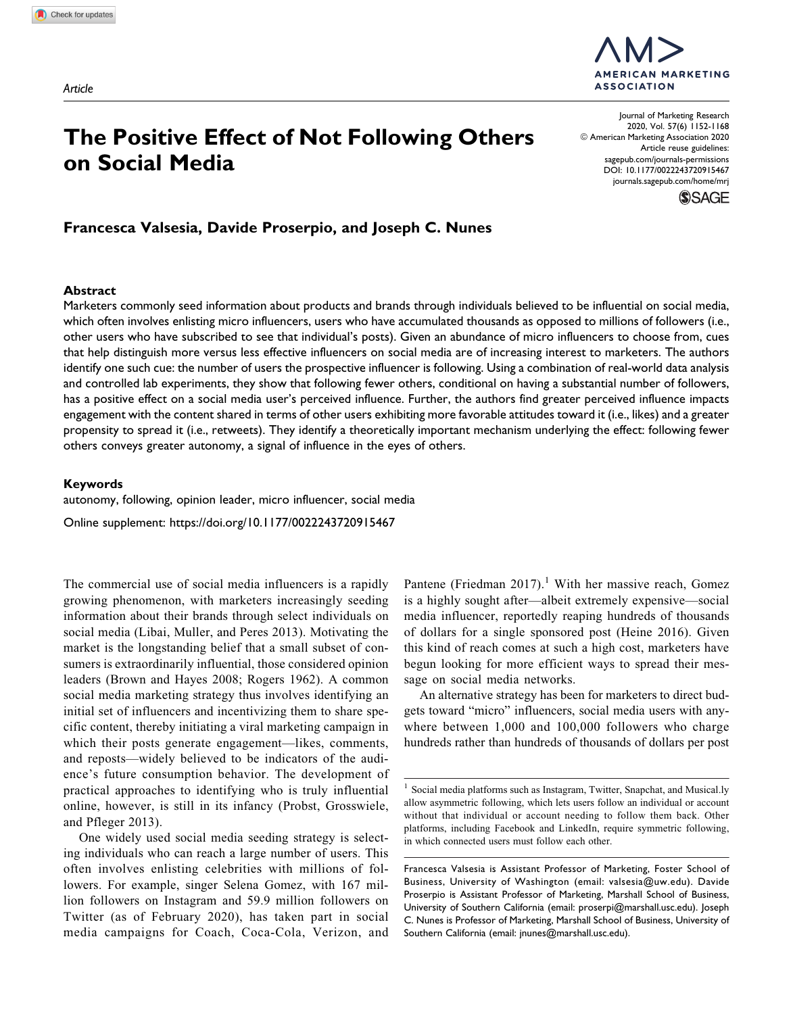# **The Positive Effect of Not Following Others on Social Media**

Journal of Marketing Research 2020, Vol. 57(6) 1152-1168 © American Marketing Association 2020 Article reuse guidelines: [sagepub.com/journals-permissions](https://sagepub.com/journals-permissions) [DOI: 10.1177/0022243720915467](https://doi.org/10.1177/0022243720915467) [journals.sagepub.com/home/mrj](http://journals.sagepub.com/home/mrj)

**ASSOCIATION** 

**MERICAN MARKETING** 



# **Francesca Valsesia, Davide Proserpio, and Joseph C. Nunes**

## **Abstract**

Marketers commonly seed information about products and brands through individuals believed to be influential on social media, which often involves enlisting micro influencers, users who have accumulated thousands as opposed to millions of followers (i.e., other users who have subscribed to see that individual's posts). Given an abundance of micro influencers to choose from, cues that help distinguish more versus less effective influencers on social media are of increasing interest to marketers. The authors identify one such cue: the number of users the prospective influencer is following. Using a combination of real-world data analysis and controlled lab experiments, they show that following fewer others, conditional on having a substantial number of followers, has a positive effect on a social media user's perceived influence. Further, the authors find greater perceived influence impacts engagement with the content shared in terms of other users exhibiting more favorable attitudes toward it (i.e., likes) and a greater propensity to spread it (i.e., retweets). They identify a theoretically important mechanism underlying the effect: following fewer others conveys greater autonomy, a signal of influence in the eyes of others.

#### **Keywords**

autonomy, following, opinion leader, micro influencer, social media

Online supplement:<https://doi.org/10.1177/0022243720915467>

The commercial use of social media influencers is a rapidly growing phenomenon, with marketers increasingly seeding information about their brands through select individuals on social media (Libai, Muller, and Peres 2013). Motivating the market is the longstanding belief that a small subset of consumers is extraordinarily influential, those considered opinion leaders (Brown and Hayes 2008; Rogers 1962). A common social media marketing strategy thus involves identifying an initial set of influencers and incentivizing them to share specific content, thereby initiating a viral marketing campaign in which their posts generate engagement—likes, comments, and reposts—widely believed to be indicators of the audience's future consumption behavior. The development of practical approaches to identifying who is truly influential online, however, is still in its infancy (Probst, Grosswiele, and Pfleger 2013).

One widely used social media seeding strategy is selecting individuals who can reach a large number of users. This often involves enlisting celebrities with millions of followers. For example, singer Selena Gomez, with 167 million followers on Instagram and 59.9 million followers on Twitter (as of February 2020), has taken part in social media campaigns for Coach, Coca-Cola, Verizon, and Pantene (Friedman 2017).<sup>1</sup> With her massive reach, Gomez is a highly sought after—albeit extremely expensive—social media influencer, reportedly reaping hundreds of thousands of dollars for a single sponsored post (Heine 2016). Given this kind of reach comes at such a high cost, marketers have begun looking for more efficient ways to spread their message on social media networks.

An alternative strategy has been for marketers to direct budgets toward "micro" influencers, social media users with anywhere between 1,000 and 100,000 followers who charge hundreds rather than hundreds of thousands of dollars per post

<sup>&</sup>lt;sup>1</sup> Social media platforms such as Instagram, Twitter, Snapchat, and Musical.ly allow asymmetric following, which lets users follow an individual or account without that individual or account needing to follow them back. Other platforms, including Facebook and LinkedIn, require symmetric following, in which connected users must follow each other.

Francesca Valsesia is Assistant Professor of Marketing, Foster School of Business, University of Washington (email: [valsesia@uw.edu](mailto:valsesia@uw.edu)). Davide Proserpio is Assistant Professor of Marketing, Marshall School of Business, University of Southern California (email: [proserpi@marshall.usc.edu\)](mailto:proserpi@marshall.usc.edu). Joseph C. Nunes is Professor of Marketing, Marshall School of Business, University of Southern California (email: [jnunes@marshall.usc.edu](mailto:jnunes@marshall.usc.edu)).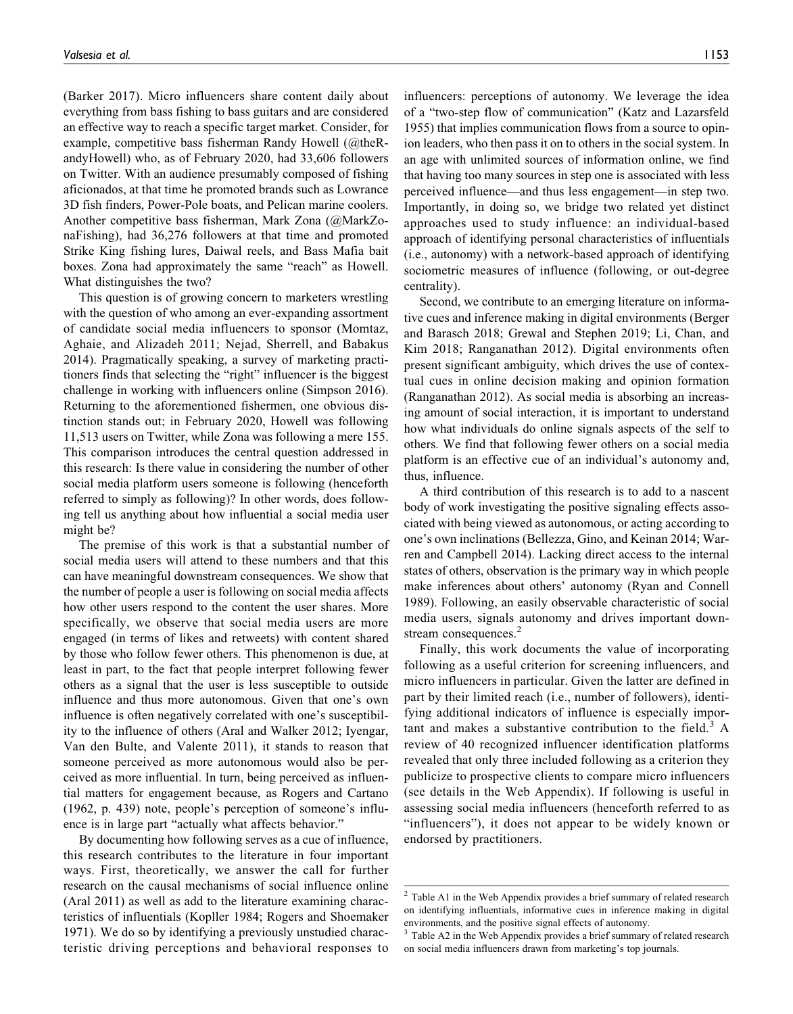(Barker 2017). Micro influencers share content daily about everything from bass fishing to bass guitars and are considered an effective way to reach a specific target market. Consider, for example, competitive bass fisherman Randy Howell (@theRandyHowell) who, as of February 2020, had 33,606 followers on Twitter. With an audience presumably composed of fishing aficionados, at that time he promoted brands such as Lowrance 3D fish finders, Power-Pole boats, and Pelican marine coolers. Another competitive bass fisherman, Mark Zona (@MarkZonaFishing), had 36,276 followers at that time and promoted Strike King fishing lures, Daiwal reels, and Bass Mafia bait boxes. Zona had approximately the same "reach" as Howell. What distinguishes the two?

This question is of growing concern to marketers wrestling with the question of who among an ever-expanding assortment of candidate social media influencers to sponsor (Momtaz, Aghaie, and Alizadeh 2011; Nejad, Sherrell, and Babakus 2014). Pragmatically speaking, a survey of marketing practitioners finds that selecting the "right" influencer is the biggest challenge in working with influencers online (Simpson 2016). Returning to the aforementioned fishermen, one obvious distinction stands out; in February 2020, Howell was following 11,513 users on Twitter, while Zona was following a mere 155. This comparison introduces the central question addressed in this research: Is there value in considering the number of other social media platform users someone is following (henceforth referred to simply as following)? In other words, does following tell us anything about how influential a social media user might be?

The premise of this work is that a substantial number of social media users will attend to these numbers and that this can have meaningful downstream consequences. We show that the number of people a user is following on social media affects how other users respond to the content the user shares. More specifically, we observe that social media users are more engaged (in terms of likes and retweets) with content shared by those who follow fewer others. This phenomenon is due, at least in part, to the fact that people interpret following fewer others as a signal that the user is less susceptible to outside influence and thus more autonomous. Given that one's own influence is often negatively correlated with one's susceptibility to the influence of others (Aral and Walker 2012; Iyengar, Van den Bulte, and Valente 2011), it stands to reason that someone perceived as more autonomous would also be perceived as more influential. In turn, being perceived as influential matters for engagement because, as Rogers and Cartano (1962, p. 439) note, people's perception of someone's influence is in large part "actually what affects behavior."

By documenting how following serves as a cue of influence, this research contributes to the literature in four important ways. First, theoretically, we answer the call for further research on the causal mechanisms of social influence online (Aral 2011) as well as add to the literature examining characteristics of influentials (Kopller 1984; Rogers and Shoemaker 1971). We do so by identifying a previously unstudied characteristic driving perceptions and behavioral responses to influencers: perceptions of autonomy. We leverage the idea of a "two-step flow of communication" (Katz and Lazarsfeld 1955) that implies communication flows from a source to opinion leaders, who then pass it on to others in the social system. In an age with unlimited sources of information online, we find that having too many sources in step one is associated with less perceived influence—and thus less engagement—in step two. Importantly, in doing so, we bridge two related yet distinct approaches used to study influence: an individual-based approach of identifying personal characteristics of influentials (i.e., autonomy) with a network-based approach of identifying sociometric measures of influence (following, or out-degree centrality).

Second, we contribute to an emerging literature on informative cues and inference making in digital environments (Berger and Barasch 2018; Grewal and Stephen 2019; Li, Chan, and Kim 2018; Ranganathan 2012). Digital environments often present significant ambiguity, which drives the use of contextual cues in online decision making and opinion formation (Ranganathan 2012). As social media is absorbing an increasing amount of social interaction, it is important to understand how what individuals do online signals aspects of the self to others. We find that following fewer others on a social media platform is an effective cue of an individual's autonomy and, thus, influence.

A third contribution of this research is to add to a nascent body of work investigating the positive signaling effects associated with being viewed as autonomous, or acting according to one's own inclinations (Bellezza, Gino, and Keinan 2014; Warren and Campbell 2014). Lacking direct access to the internal states of others, observation is the primary way in which people make inferences about others' autonomy (Ryan and Connell 1989). Following, an easily observable characteristic of social media users, signals autonomy and drives important downstream consequences.<sup>2</sup>

Finally, this work documents the value of incorporating following as a useful criterion for screening influencers, and micro influencers in particular. Given the latter are defined in part by their limited reach (i.e., number of followers), identifying additional indicators of influence is especially important and makes a substantive contribution to the field.<sup>3</sup> A review of 40 recognized influencer identification platforms revealed that only three included following as a criterion they publicize to prospective clients to compare micro influencers (see details in the Web Appendix). If following is useful in assessing social media influencers (henceforth referred to as "influencers"), it does not appear to be widely known or endorsed by practitioners.

 $2$  Table A1 in the Web Appendix provides a brief summary of related research on identifying influentials, informative cues in inference making in digital environments, and the positive signal effects of autonomy.

Table A2 in the Web Appendix provides a brief summary of related research on social media influencers drawn from marketing's top journals.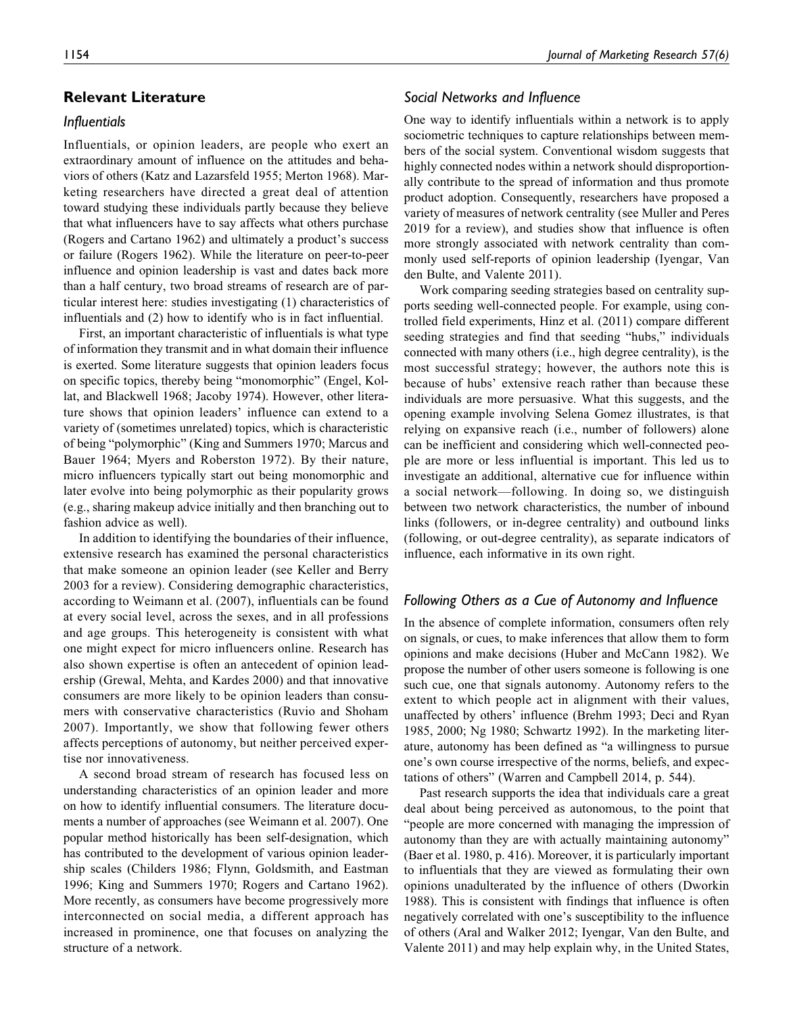## **Relevant Literature**

# *Influentials*

Influentials, or opinion leaders, are people who exert an extraordinary amount of influence on the attitudes and behaviors of others (Katz and Lazarsfeld 1955; Merton 1968). Marketing researchers have directed a great deal of attention toward studying these individuals partly because they believe that what influencers have to say affects what others purchase (Rogers and Cartano 1962) and ultimately a product's success or failure (Rogers 1962). While the literature on peer-to-peer influence and opinion leadership is vast and dates back more than a half century, two broad streams of research are of particular interest here: studies investigating (1) characteristics of influentials and (2) how to identify who is in fact influential.

First, an important characteristic of influentials is what type of information they transmit and in what domain their influence is exerted. Some literature suggests that opinion leaders focus on specific topics, thereby being "monomorphic" (Engel, Kollat, and Blackwell 1968; Jacoby 1974). However, other literature shows that opinion leaders' influence can extend to a variety of (sometimes unrelated) topics, which is characteristic of being "polymorphic" (King and Summers 1970; Marcus and Bauer 1964; Myers and Roberston 1972). By their nature, micro influencers typically start out being monomorphic and later evolve into being polymorphic as their popularity grows (e.g., sharing makeup advice initially and then branching out to fashion advice as well).

In addition to identifying the boundaries of their influence, extensive research has examined the personal characteristics that make someone an opinion leader (see Keller and Berry 2003 for a review). Considering demographic characteristics, according to Weimann et al. (2007), influentials can be found at every social level, across the sexes, and in all professions and age groups. This heterogeneity is consistent with what one might expect for micro influencers online. Research has also shown expertise is often an antecedent of opinion leadership (Grewal, Mehta, and Kardes 2000) and that innovative consumers are more likely to be opinion leaders than consumers with conservative characteristics (Ruvio and Shoham 2007). Importantly, we show that following fewer others affects perceptions of autonomy, but neither perceived expertise nor innovativeness.

A second broad stream of research has focused less on understanding characteristics of an opinion leader and more on how to identify influential consumers. The literature documents a number of approaches (see Weimann et al. 2007). One popular method historically has been self-designation, which has contributed to the development of various opinion leadership scales (Childers 1986; Flynn, Goldsmith, and Eastman 1996; King and Summers 1970; Rogers and Cartano 1962). More recently, as consumers have become progressively more interconnected on social media, a different approach has increased in prominence, one that focuses on analyzing the structure of a network.

# *Social Networks and Influence*

One way to identify influentials within a network is to apply sociometric techniques to capture relationships between members of the social system. Conventional wisdom suggests that highly connected nodes within a network should disproportionally contribute to the spread of information and thus promote product adoption. Consequently, researchers have proposed a variety of measures of network centrality (see Muller and Peres 2019 for a review), and studies show that influence is often more strongly associated with network centrality than commonly used self-reports of opinion leadership (Iyengar, Van den Bulte, and Valente 2011).

Work comparing seeding strategies based on centrality supports seeding well-connected people. For example, using controlled field experiments, Hinz et al. (2011) compare different seeding strategies and find that seeding "hubs," individuals connected with many others (i.e., high degree centrality), is the most successful strategy; however, the authors note this is because of hubs' extensive reach rather than because these individuals are more persuasive. What this suggests, and the opening example involving Selena Gomez illustrates, is that relying on expansive reach (i.e., number of followers) alone can be inefficient and considering which well-connected people are more or less influential is important. This led us to investigate an additional, alternative cue for influence within a social network—following. In doing so, we distinguish between two network characteristics, the number of inbound links (followers, or in-degree centrality) and outbound links (following, or out-degree centrality), as separate indicators of influence, each informative in its own right.

# *Following Others as a Cue of Autonomy and Influence*

In the absence of complete information, consumers often rely on signals, or cues, to make inferences that allow them to form opinions and make decisions (Huber and McCann 1982). We propose the number of other users someone is following is one such cue, one that signals autonomy. Autonomy refers to the extent to which people act in alignment with their values, unaffected by others' influence (Brehm 1993; Deci and Ryan 1985, 2000; Ng 1980; Schwartz 1992). In the marketing literature, autonomy has been defined as "a willingness to pursue one's own course irrespective of the norms, beliefs, and expectations of others" (Warren and Campbell 2014, p. 544).

Past research supports the idea that individuals care a great deal about being perceived as autonomous, to the point that "people are more concerned with managing the impression of autonomy than they are with actually maintaining autonomy" (Baer et al. 1980, p. 416). Moreover, it is particularly important to influentials that they are viewed as formulating their own opinions unadulterated by the influence of others (Dworkin 1988). This is consistent with findings that influence is often negatively correlated with one's susceptibility to the influence of others (Aral and Walker 2012; Iyengar, Van den Bulte, and Valente 2011) and may help explain why, in the United States,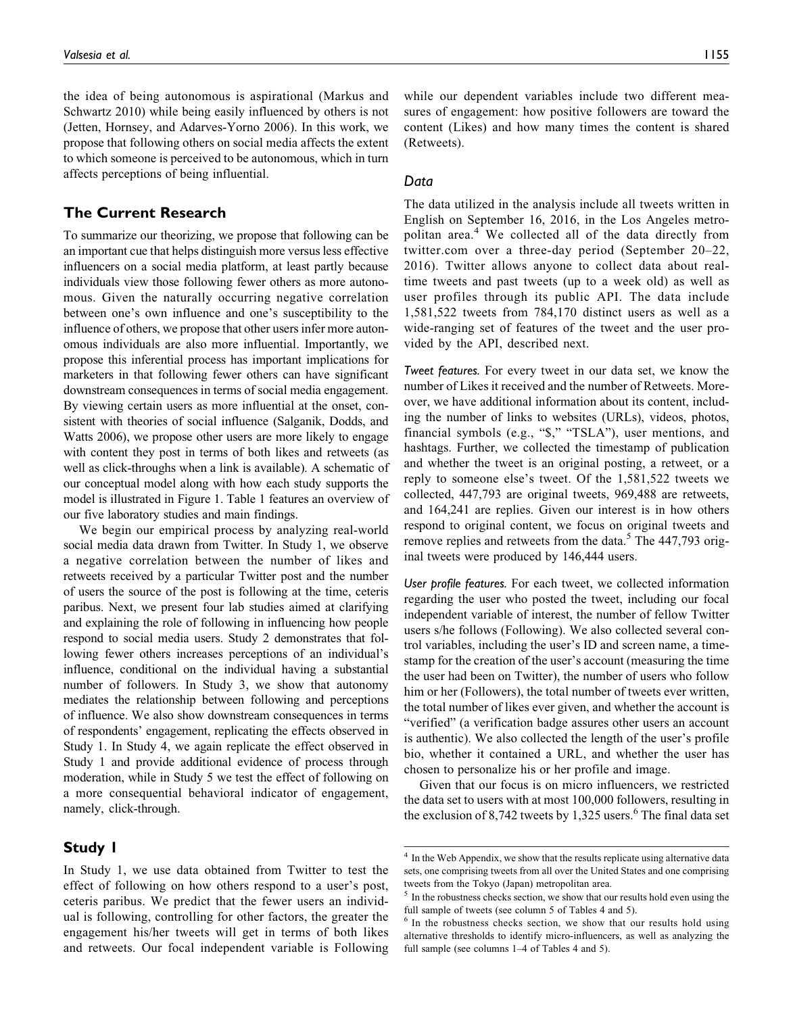the idea of being autonomous is aspirational (Markus and Schwartz 2010) while being easily influenced by others is not (Jetten, Hornsey, and Adarves-Yorno 2006). In this work, we propose that following others on social media affects the extent to which someone is perceived to be autonomous, which in turn affects perceptions of being influential.

# **The Current Research**

To summarize our theorizing, we propose that following can be an important cue that helps distinguish more versus less effective influencers on a social media platform, at least partly because individuals view those following fewer others as more autonomous. Given the naturally occurring negative correlation between one's own influence and one's susceptibility to the influence of others, we propose that other users infer more autonomous individuals are also more influential. Importantly, we propose this inferential process has important implications for marketers in that following fewer others can have significant downstream consequences in terms of social media engagement. By viewing certain users as more influential at the onset, consistent with theories of social influence (Salganik, Dodds, and Watts 2006), we propose other users are more likely to engage with content they post in terms of both likes and retweets (as well as click-throughs when a link is available). A schematic of our conceptual model along with how each study supports the model is illustrated in Figure 1. Table 1 features an overview of our five laboratory studies and main findings.

We begin our empirical process by analyzing real-world social media data drawn from Twitter. In Study 1, we observe a negative correlation between the number of likes and retweets received by a particular Twitter post and the number of users the source of the post is following at the time, ceteris paribus. Next, we present four lab studies aimed at clarifying and explaining the role of following in influencing how people respond to social media users. Study 2 demonstrates that following fewer others increases perceptions of an individual's influence, conditional on the individual having a substantial number of followers. In Study 3, we show that autonomy mediates the relationship between following and perceptions of influence. We also show downstream consequences in terms of respondents' engagement, replicating the effects observed in Study 1. In Study 4, we again replicate the effect observed in Study 1 and provide additional evidence of process through moderation, while in Study 5 we test the effect of following on a more consequential behavioral indicator of engagement, namely, click-through.

# **Study 1**

In Study 1, we use data obtained from Twitter to test the effect of following on how others respond to a user's post, ceteris paribus. We predict that the fewer users an individual is following, controlling for other factors, the greater the engagement his/her tweets will get in terms of both likes and retweets. Our focal independent variable is Following

while our dependent variables include two different measures of engagement: how positive followers are toward the content (Likes) and how many times the content is shared (Retweets).

## *Data*

The data utilized in the analysis include all tweets written in English on September 16, 2016, in the Los Angeles metropolitan area.<sup>4</sup> We collected all of the data directly from [twitter.com](http://twitter.com) over a three-day period (September 20–22, 2016). Twitter allows anyone to collect data about realtime tweets and past tweets (up to a week old) as well as user profiles through its public API. The data include 1,581,522 tweets from 784,170 distinct users as well as a wide-ranging set of features of the tweet and the user provided by the API, described next.

*Tweet features.* For every tweet in our data set, we know the number of Likes it received and the number of Retweets. Moreover, we have additional information about its content, including the number of links to websites (URLs), videos, photos, financial symbols (e.g., "\$," "TSLA"), user mentions, and hashtags. Further, we collected the timestamp of publication and whether the tweet is an original posting, a retweet, or a reply to someone else's tweet. Of the 1,581,522 tweets we collected, 447,793 are original tweets, 969,488 are retweets, and 164,241 are replies. Given our interest is in how others respond to original content, we focus on original tweets and remove replies and retweets from the data.<sup>5</sup> The  $447,793$  original tweets were produced by 146,444 users.

*User profile features.* For each tweet, we collected information regarding the user who posted the tweet, including our focal independent variable of interest, the number of fellow Twitter users s/he follows (Following). We also collected several control variables, including the user's ID and screen name, a timestamp for the creation of the user's account (measuring the time the user had been on Twitter), the number of users who follow him or her (Followers), the total number of tweets ever written, the total number of likes ever given, and whether the account is "verified" (a verification badge assures other users an account is authentic). We also collected the length of the user's profile bio, whether it contained a URL, and whether the user has chosen to personalize his or her profile and image.

Given that our focus is on micro influencers, we restricted the data set to users with at most 100,000 followers, resulting in the exclusion of 8,742 tweets by 1,325 users. $6$  The final data set

<sup>&</sup>lt;sup>4</sup> In the Web Appendix, we show that the results replicate using alternative data sets, one comprising tweets from all over the United States and one comprising tweets from the Tokyo (Japan) metropolitan area.

 $5$  In the robustness checks section, we show that our results hold even using the full sample of tweets (see column 5 of Tables 4 and 5).

<sup>&</sup>lt;sup>6</sup> In the robustness checks section, we show that our results hold using alternative thresholds to identify micro-influencers, as well as analyzing the full sample (see columns 1–4 of Tables 4 and 5).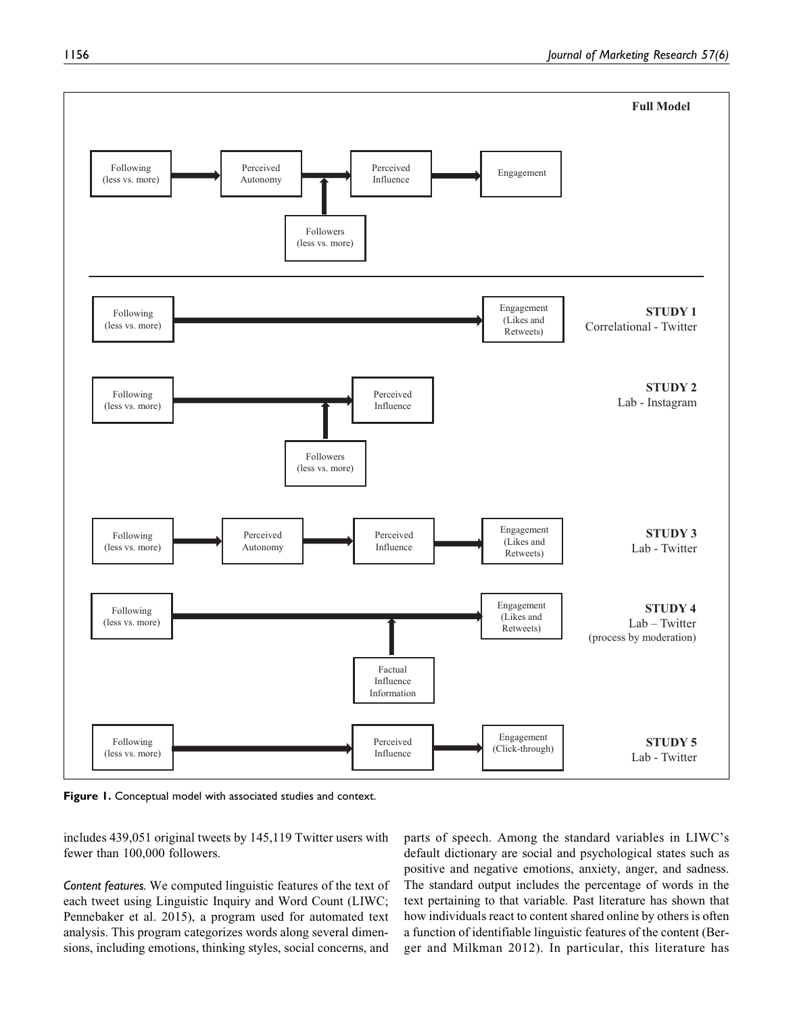

**Figure 1.** Conceptual model with associated studies and context.

includes 439,051 original tweets by 145,119 Twitter users with fewer than 100,000 followers.

*Content features.* We computed linguistic features of the text of each tweet using Linguistic Inquiry and Word Count (LIWC; Pennebaker et al. 2015), a program used for automated text analysis. This program categorizes words along several dimensions, including emotions, thinking styles, social concerns, and

parts of speech. Among the standard variables in LIWC's default dictionary are social and psychological states such as positive and negative emotions, anxiety, anger, and sadness. The standard output includes the percentage of words in the text pertaining to that variable. Past literature has shown that how individuals react to content shared online by others is often a function of identifiable linguistic features of the content (Berger and Milkman 2012). In particular, this literature has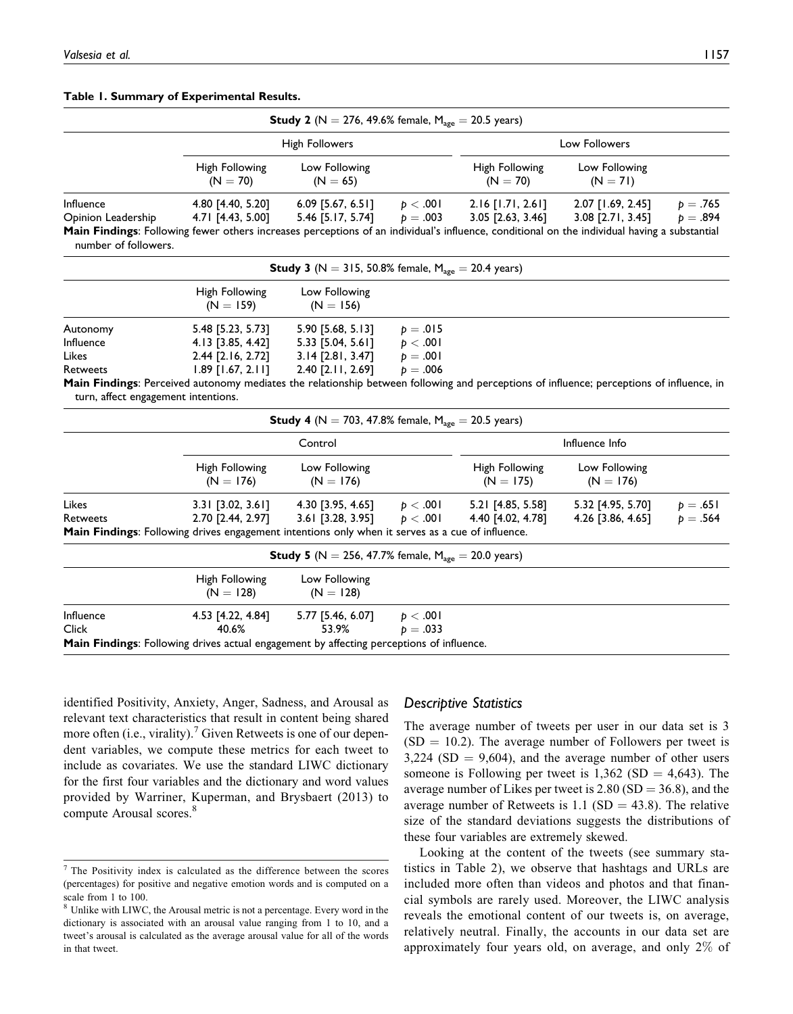#### **Table 1. Summary of Experimental Results.**

|                                                                                                               |                                                                                                                                                                                                                                | <b>Study 2</b> (N = 276, 49.6% female, $M_{\text{age}} = 20.5$ years)            |                                                |                                          |                                        |                        |  |
|---------------------------------------------------------------------------------------------------------------|--------------------------------------------------------------------------------------------------------------------------------------------------------------------------------------------------------------------------------|----------------------------------------------------------------------------------|------------------------------------------------|------------------------------------------|----------------------------------------|------------------------|--|
|                                                                                                               |                                                                                                                                                                                                                                | <b>High Followers</b>                                                            |                                                |                                          | Low Followers                          |                        |  |
|                                                                                                               | High Following<br>$(N = 70)$                                                                                                                                                                                                   | Low Following<br>$(N = 65)$                                                      |                                                | High Following<br>$(N = 70)$             | Low Following<br>$(N = 71)$            |                        |  |
| Influence<br>Opinion Leadership<br>number of followers.                                                       | 4.80 [4.40, 5.20]<br>4.71 [4.43, 5.00]<br>Main Findings: Following fewer others increases perceptions of an individual's influence, conditional on the individual having a substantial                                         | $6.09$ [5.67, 6.51]<br>5.46 [5.17, 5.74]                                         | p < .001<br>$p=.003$                           | $2.16$ [1.71, 2.61]<br>3.05 [2.63, 3.46] | 2.07 [1.69, 2.45]<br>3.08 [2.71, 3.45] | $p = .765$<br>$p=.894$ |  |
|                                                                                                               |                                                                                                                                                                                                                                | <b>Study 3</b> (N = 315, 50.8% female, $M_{\text{age}} = 20.4$ years)            |                                                |                                          |                                        |                        |  |
|                                                                                                               | High Following<br>$(N = 159)$                                                                                                                                                                                                  | Low Following<br>$(N = 156)$                                                     |                                                |                                          |                                        |                        |  |
| Autonomy<br>Influence<br>Likes<br>Retweets<br>turn, affect engagement intentions.                             | 5.48 [5.23, 5.73]<br>4.13 [3.85, 4.42]<br>2.44 [2.16, 2.72]<br>$1.89$ [1.67, 2.11]<br>Main Findings: Perceived autonomy mediates the relationship between following and perceptions of influence; perceptions of influence, in | 5.90 [5.68, 5.13]<br>5.33 [5.04, 5.61]<br>3.14 [2.81, 3.47]<br>2.40 [2.11, 2.69] | $p = .015$<br>p < .001<br>$p=.001$<br>$p=.006$ |                                          |                                        |                        |  |
|                                                                                                               |                                                                                                                                                                                                                                | <b>Study 4</b> (N = 703, 47.8% female, $M_{\text{age}} = 20.5$ years)            |                                                |                                          |                                        |                        |  |
|                                                                                                               |                                                                                                                                                                                                                                | Control                                                                          |                                                |                                          | Influence Info                         |                        |  |
|                                                                                                               | High Following<br>$(N = 176)$                                                                                                                                                                                                  | Low Following<br>$(N = 176)$                                                     |                                                | High Following<br>$(N = 175)$            | Low Following<br>$(N = 176)$           |                        |  |
| Likes<br>Retweets                                                                                             | $3.31$ [3.02, 3.61]<br>2.70 [2.44, 2.97]<br>Main Findings: Following drives engagement intentions only when it serves as a cue of influence.                                                                                   | 4.30 [3.95, 4.65]<br>$3.61$ [3.28, 3.95]                                         | p < .001<br>p < .001                           | 5.21 [4.85, 5.58]<br>4.40 [4.02, 4.78]   | 5.32 [4.95, 5.70]<br>4.26 [3.86, 4.65] | $p = .651$<br>$p=.564$ |  |
|                                                                                                               |                                                                                                                                                                                                                                | <b>Study 5</b> (N = 256, 47.7% female, $M_{\text{age}} = 20.0 \text{ years}$ )   |                                                |                                          |                                        |                        |  |
|                                                                                                               | High Following<br>$(N = 128)$                                                                                                                                                                                                  | Low Following<br>$(N = 128)$                                                     |                                                |                                          |                                        |                        |  |
| Influence<br>Click<br>Main Eindinge: Following drives actual engagement by effecting persentions of influence | 4.53 [4.22, 4.84]<br>40.6%                                                                                                                                                                                                     | 5.77 [5.46, 6.07]<br>53.9%                                                       | p < .001<br>$p = .033$                         |                                          |                                        |                        |  |

**Main Findings**: Following drives actual engagement by affecting perceptions of influence.

identified Positivity, Anxiety, Anger, Sadness, and Arousal as relevant text characteristics that result in content being shared more often (i.e., virality).<sup>7</sup> Given Retweets is one of our dependent variables, we compute these metrics for each tweet to include as covariates. We use the standard LIWC dictionary for the first four variables and the dictionary and word values provided by Warriner, Kuperman, and Brysbaert (2013) to compute Arousal scores.<sup>8</sup>

# *Descriptive Statistics*

The average number of tweets per user in our data set is 3  $(SD = 10.2)$ . The average number of Followers per tweet is  $3,224$  (SD = 9,604), and the average number of other users someone is Following per tweet is  $1,362$  (SD = 4,643). The average number of Likes per tweet is  $2.80$  (SD = 36.8), and the average number of Retweets is 1.1 (SD = 43.8). The relative size of the standard deviations suggests the distributions of these four variables are extremely skewed.

Looking at the content of the tweets (see summary statistics in Table 2), we observe that hashtags and URLs are included more often than videos and photos and that financial symbols are rarely used. Moreover, the LIWC analysis reveals the emotional content of our tweets is, on average, relatively neutral. Finally, the accounts in our data set are approximately four years old, on average, and only 2% of

<sup>7</sup> The Positivity index is calculated as the difference between the scores (percentages) for positive and negative emotion words and is computed on a scale from 1 to 100.

<sup>8</sup> Unlike with LIWC, the Arousal metric is not a percentage. Every word in the dictionary is associated with an arousal value ranging from 1 to 10, and a tweet's arousal is calculated as the average arousal value for all of the words in that tweet.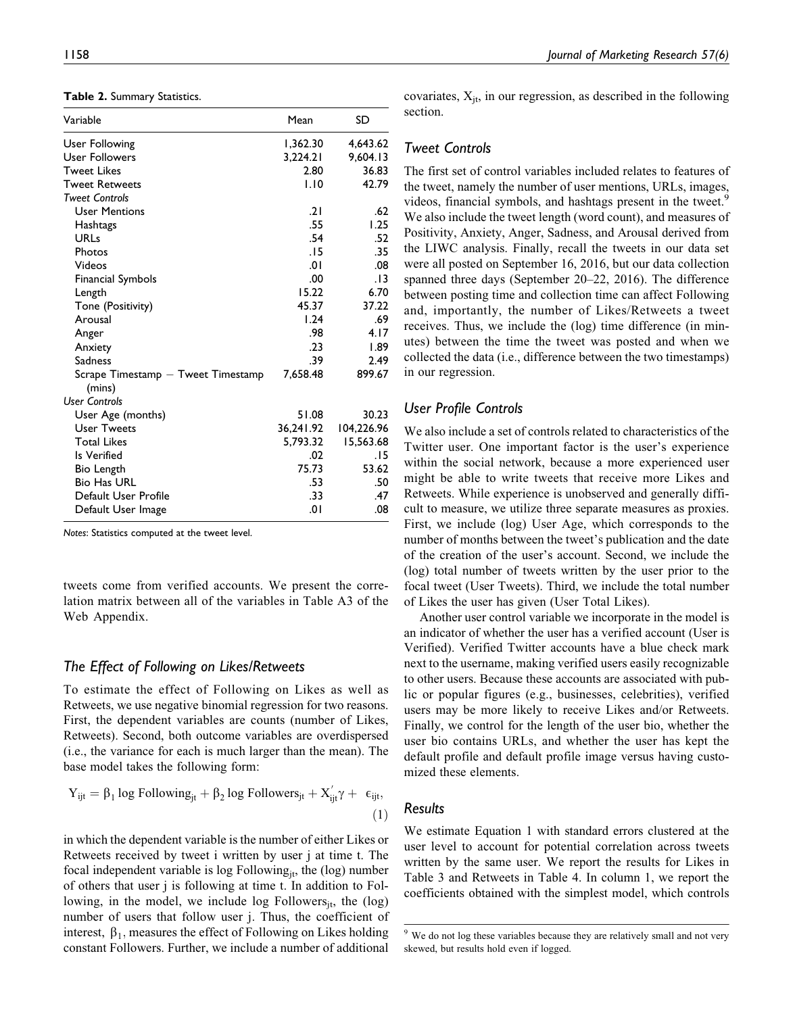**Table 2.** Summary Statistics.

| Variable                                     | Mean      | SD         |
|----------------------------------------------|-----------|------------|
| User Following                               | 1,362.30  | 4,643.62   |
| User Followers                               | 3,224.21  | 9,604.13   |
| <b>Tweet Likes</b>                           | 2.80      | 36.83      |
| <b>Tweet Retweets</b>                        | 1.10      | 42.79      |
| <b>Tweet Controls</b>                        |           |            |
| <b>User Mentions</b>                         | .21       | .62        |
| Hashtags                                     | .55       | 1.25       |
| <b>URLs</b>                                  | .54       | .52        |
| Photos                                       | .15       | .35        |
| Videos                                       | .01       | .08        |
| <b>Financial Symbols</b>                     | .00       | . I 3      |
| Length                                       | 15.22     | 6.70       |
| Tone (Positivity)                            | 45.37     | 37.22      |
| Arousal                                      | 1.24      | .69        |
| Anger                                        | .98       | 4.17       |
| Anxiety                                      | .23       | 1.89       |
| <b>Sadness</b>                               | .39       | 2.49       |
| Scrape Timestamp – Tweet Timestamp<br>(mins) | 7,658.48  | 899.67     |
| <b>User Controls</b>                         |           |            |
| User Age (months)                            | 51.08     | 30.23      |
| <b>User Tweets</b>                           | 36,241.92 | 104,226.96 |
| <b>Total Likes</b>                           | 5,793.32  | 15,563.68  |
| Is Verified                                  | .02       | 15.        |
| Bio Length                                   | 75.73     | 53.62      |
| <b>Bio Has URL</b>                           | .53       | .50        |
| Default User Profile                         | .33       | .47        |
| Default User Image                           | 0۱.       | .08        |

*Notes*: Statistics computed at the tweet level.

tweets come from verified accounts. We present the correlation matrix between all of the variables in Table A3 of the Web Appendix.

## *The Effect of Following on Likes/Retweets*

To estimate the effect of Following on Likes as well as Retweets, we use negative binomial regression for two reasons. First, the dependent variables are counts (number of Likes, Retweets). Second, both outcome variables are overdispersed (i.e., the variance for each is much larger than the mean). The base model takes the following form:

$$
Y_{ijt} = \beta_1 \log\text{Following}_{jt} + \beta_2 \log\text{Followers}_{jt} + X_{ijt}'\gamma + \varepsilon_{ijt},\tag{1}
$$

in which the dependent variable is the number of either Likes or Retweets received by tweet i written by user j at time t. The focal independent variable is  $log$  Following<sub>it</sub>, the  $(log)$  number of others that user j is following at time t. In addition to Following, in the model, we include  $log$  Followers $_{it}$ , the  $(log)$ number of users that follow user j. Thus, the coefficient of interest,  $\beta_1$ , measures the effect of Following on Likes holding constant Followers. Further, we include a number of additional

covariates,  $X_{it}$ , in our regression, as described in the following section.

# *Tweet Controls*

The first set of control variables included relates to features of the tweet, namely the number of user mentions, URLs, images, videos, financial symbols, and hashtags present in the tweet.<sup>9</sup> We also include the tweet length (word count), and measures of Positivity, Anxiety, Anger, Sadness, and Arousal derived from the LIWC analysis. Finally, recall the tweets in our data set were all posted on September 16, 2016, but our data collection spanned three days (September 20–22, 2016). The difference between posting time and collection time can affect Following and, importantly, the number of Likes/Retweets a tweet receives. Thus, we include the (log) time difference (in minutes) between the time the tweet was posted and when we collected the data (i.e., difference between the two timestamps) in our regression.

# *User Profile Controls*

We also include a set of controls related to characteristics of the Twitter user. One important factor is the user's experience within the social network, because a more experienced user might be able to write tweets that receive more Likes and Retweets. While experience is unobserved and generally difficult to measure, we utilize three separate measures as proxies. First, we include (log) User Age, which corresponds to the number of months between the tweet's publication and the date of the creation of the user's account. Second, we include the (log) total number of tweets written by the user prior to the focal tweet (User Tweets). Third, we include the total number of Likes the user has given (User Total Likes).

Another user control variable we incorporate in the model is an indicator of whether the user has a verified account (User is Verified). Verified Twitter accounts have a blue check mark next to the username, making verified users easily recognizable to other users. Because these accounts are associated with public or popular figures (e.g., businesses, celebrities), verified users may be more likely to receive Likes and/or Retweets. Finally, we control for the length of the user bio, whether the user bio contains URLs, and whether the user has kept the default profile and default profile image versus having customized these elements.

# *Results*

We estimate Equation 1 with standard errors clustered at the user level to account for potential correlation across tweets written by the same user. We report the results for Likes in Table 3 and Retweets in Table 4. In column 1, we report the coefficients obtained with the simplest model, which controls

<sup>&</sup>lt;sup>9</sup> We do not log these variables because they are relatively small and not very skewed, but results hold even if logged.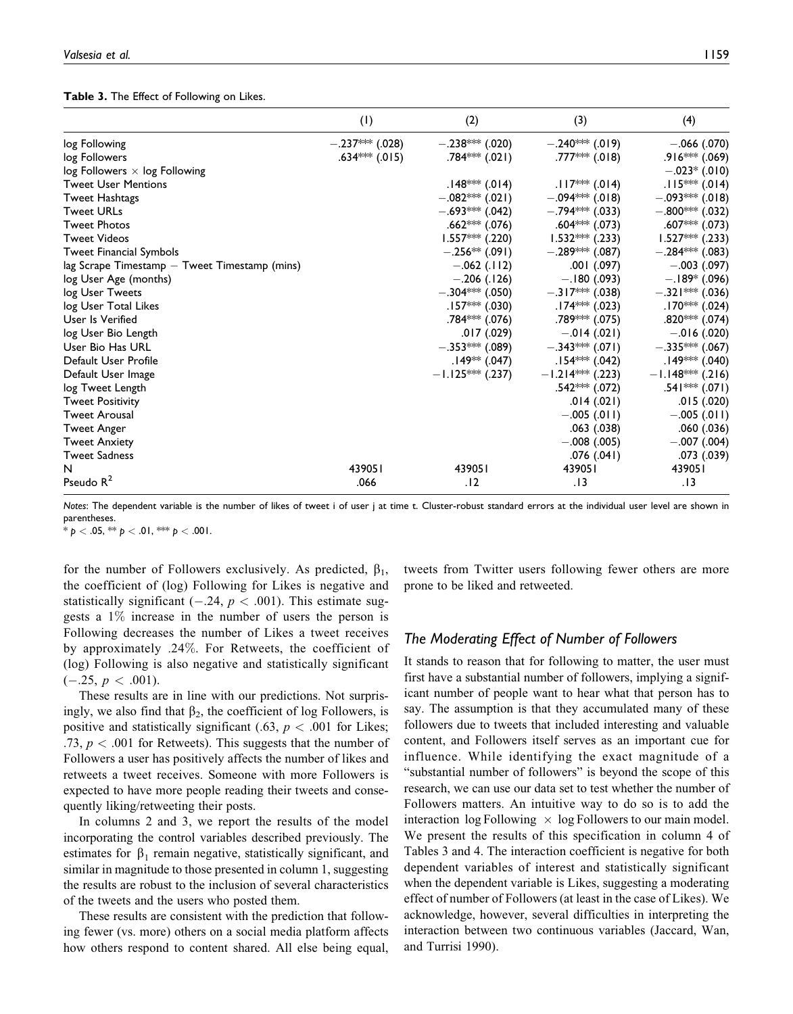#### **Table 3.** The Effect of Following on Likes.

|                                               | (1)                | (2)                | (3)                         | (4)                |
|-----------------------------------------------|--------------------|--------------------|-----------------------------|--------------------|
| log Following                                 | $-.237***$ (.028)  | $-.238***(.020)$   | $-.240***(.019)$            | $-.066$ (.070)     |
| log Followers                                 | $.634***$ $(.015)$ | .784*** (.021)     | $.777***$ (.018)            | $.916***$ $(.069)$ |
| $log$ Followers $\times$ log Following        |                    |                    |                             | $-.023*$ (.010)    |
| <b>Tweet User Mentions</b>                    |                    | $.148*** (.014)$   | $.117*** (.014)$            | $.115***$ (.014)   |
| <b>Tweet Hashtags</b>                         |                    | $-.082***(.021)$   | $-.094***(.018)$            | $-.093***(.018)$   |
| <b>Tweet URLs</b>                             |                    | $-.693***(.042)$   | $-.794***$ (.033)           | $-.800***$ (.032)  |
| <b>Tweet Photos</b>                           |                    | $.662***$ $(.076)$ | $.604***$ $(.073)$          | .607*** $(.073)$   |
| <b>Tweet Videos</b>                           |                    | $1.557***$ (.220)  | $1.532***$ (.233)           | $1.527***$ (.233)  |
| <b>Tweet Financial Symbols</b>                |                    | $-.256**(.091)$    | $-.289***(.087)$            | $-.284***$ (.083)  |
| lag Scrape Timestamp - Tweet Timestamp (mins) |                    | $-.062(.112)$      | $.001$ $(.097)$             | $-.003(.097)$      |
| log User Age (months)                         |                    | $-.206(.126)$      | $-.180(.093)$               | $-.189*$ (.096)    |
| log User Tweets                               |                    | $-.304***$ (.050)  | $-.317***(.038)$            | $-.321***$ (.036)  |
| log User Total Likes                          |                    | $.157***$ (.030)   | $.174*** (.023)$            | $.170***$ (.024)   |
| User Is Verified                              |                    | $.784***$ $(.076)$ | .789 <sup>∗⊯</sup> * (.075) | .820*** $(.074)$   |
| log User Bio Length                           |                    | .017 (.029)        | $-.014(.021)$               | $-.016(.020)$      |
| User Bio Has URL                              |                    | $-.353***$ (.089)  | $-.343***(.071)$            | $-.335***$ (.067)  |
| Default User Profile                          |                    | $.149**(.047)$     | $.154*** (.042)$            | $.149***$ (.040)   |
| Default User Image                            |                    | $-1.125***$ (.237) | $-1.214***$ (.223)          | $-1.148***$ (.216) |
| log Tweet Length                              |                    |                    | $.542***$ $(.072)$          | .541 *** (.071)    |
| <b>Tweet Positivity</b>                       |                    |                    | .014(.021)                  | .015(.020)         |
| <b>Tweet Arousal</b>                          |                    |                    | $-.005(.011)$               | $-.005(.011)$      |
| <b>Tweet Anger</b>                            |                    |                    | .063 (.038)                 | .060 (.036)        |
| <b>Tweet Anxiety</b>                          |                    |                    | $-.008(.005)$               | $-.007(.004)$      |
| <b>Tweet Sadness</b>                          |                    |                    | .076(.041)                  | .073 (.039)        |
| N                                             | 439051             | 439051             | 439051                      | 439051             |
| Pseudo $R^2$                                  | .066               | .12                | . 13                        | .13                |

*Notes*: The dependent variable is the number of likes of tweet i of user j at time t. Cluster-robust standard errors at the individual user level are shown in parentheses.

 $* p < .05$ ,  $** p < .01$ ,  $*** p < .001$ .

for the number of Followers exclusively. As predicted,  $\beta_1$ , the coefficient of (log) Following for Likes is negative and statistically significant (-.24,  $p < .001$ ). This estimate suggests a 1% increase in the number of users the person is Following decreases the number of Likes a tweet receives by approximately .24%. For Retweets, the coefficient of (log) Following is also negative and statistically significant  $(-.25, p < .001).$ 

These results are in line with our predictions. Not surprisingly, we also find that  $\beta_2$ , the coefficient of log Followers, is positive and statistically significant (.63,  $p < .001$  for Likes; .73,  $p < .001$  for Retweets). This suggests that the number of Followers a user has positively affects the number of likes and retweets a tweet receives. Someone with more Followers is expected to have more people reading their tweets and consequently liking/retweeting their posts.

In columns 2 and 3, we report the results of the model incorporating the control variables described previously. The estimates for  $\beta_1$  remain negative, statistically significant, and similar in magnitude to those presented in column 1, suggesting the results are robust to the inclusion of several characteristics of the tweets and the users who posted them.

These results are consistent with the prediction that following fewer (vs. more) others on a social media platform affects how others respond to content shared. All else being equal,

tweets from Twitter users following fewer others are more prone to be liked and retweeted.

# *The Moderating Effect of Number of Followers*

It stands to reason that for following to matter, the user must first have a substantial number of followers, implying a significant number of people want to hear what that person has to say. The assumption is that they accumulated many of these followers due to tweets that included interesting and valuable content, and Followers itself serves as an important cue for influence. While identifying the exact magnitude of a "substantial number of followers" is beyond the scope of this research, we can use our data set to test whether the number of Followers matters. An intuitive way to do so is to add the interaction  $\log$  Following  $\times$  log Followers to our main model. We present the results of this specification in column 4 of Tables 3 and 4. The interaction coefficient is negative for both dependent variables of interest and statistically significant when the dependent variable is Likes, suggesting a moderating effect of number of Followers (at least in the case of Likes). We acknowledge, however, several difficulties in interpreting the interaction between two continuous variables (Jaccard, Wan, and Turrisi 1990).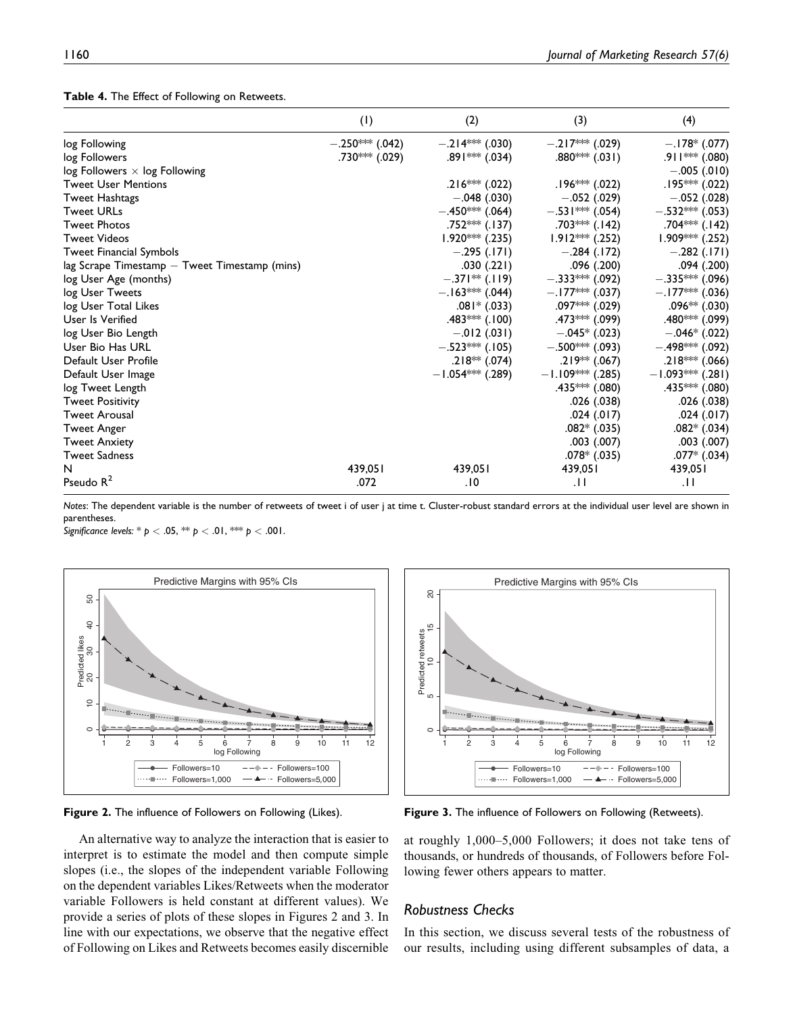|  |  |  |  |  |  | Table 4. The Effect of Following on Retweets. |
|--|--|--|--|--|--|-----------------------------------------------|
|--|--|--|--|--|--|-----------------------------------------------|

|                                                   | (1)              | (2)                | (3)                | (4)                |
|---------------------------------------------------|------------------|--------------------|--------------------|--------------------|
| log Following                                     | $-.250***(.042)$ | $-.214***$ (.030)  | $-.217***(.029)$   | $-.178*(.077)$     |
| log Followers                                     | .730*** $(.029)$ | $.891*** (.034)$   | $.880***$ $(.031)$ | .911 *** (.080)    |
| $log$ Followers $\times$ log Following            |                  |                    |                    | $-.005(.010)$      |
| <b>Tweet User Mentions</b>                        |                  | .216*** (.022)     | $.196*** (.022)$   | .195*** (.022)     |
| <b>Tweet Hashtags</b>                             |                  | $-.048(.030)$      | $-.052(.029)$      | $-.052(.028)$      |
| <b>Tweet URLs</b>                                 |                  | $-.450***$ (.064)  | $-.531***$ (.054)  | $-.532***$ (.053)  |
| <b>Tweet Photos</b>                               |                  | .752*** $(.137)$   | .703*** $(.142)$   | .704*** (.142)     |
| <b>Tweet Videos</b>                               |                  | $1.920***$ (.235)  | $1.912***$ (.252)  | 1.909*** (.252)    |
| Tweet Financial Symbols                           |                  | $-.295(.171)$      | $-.284(.172)$      | $-.282(.171)$      |
| $lag$ Scrape Timestamp $-$ Tweet Timestamp (mins) |                  | .030(.221)         | .096 (.200)        | .094 (.200)        |
| log User Age (months)                             |                  | $-.371**$ (.119)   | $-.333***$ (.092)  | $-.335***$ (.096)  |
| log User Tweets                                   |                  | $-.163***(.044)$   | $-.177***(.037)$   | $-.177***$ (.036)  |
| log User Total Likes                              |                  | $.081*$ (.033)     | .097*** $(.029)$   | .096** (.030)      |
| User Is Verified                                  |                  | .483*** $(.100)$   | $.473***$ (.099)   | .480*** (.099)     |
| log User Bio Length                               |                  | $-.012(.031)$      | $-.045*$ (.023)    | $-.046*$ (.022)    |
| User Bio Has URL                                  |                  | $-.523*** (.105)$  | $-.500***(.093)$   | $-.498***$ (.092)  |
| Default User Profile                              |                  | $.218**(.074)$     | $.219**(.067)$     | .218*** (.066)     |
| Default User Image                                |                  | $-1.054***$ (.289) | $-1.109***$ (.285) | $-1.093***$ (.281) |
| log Tweet Length                                  |                  |                    | $.435***$ $(.080)$ | .435*** (.080)     |
| <b>Tweet Positivity</b>                           |                  |                    | .026 (.038)        | .026 (.038)        |
| <b>Tweet Arousal</b>                              |                  |                    | .024(.017)         | .024(.017)         |
| <b>Tweet Anger</b>                                |                  |                    | $.082*(.035)$      | $.082*$ $(.034)$   |
| <b>Tweet Anxiety</b>                              |                  |                    | $.003$ $(.007)$    | .003(.007)         |
| <b>Tweet Sadness</b>                              |                  |                    | $.078*$ $(.035)$   | $.077*$ $(.034)$   |
| N                                                 | 439,051          | 439,051            | 439,051            | 439,051            |
| Pseudo $R^2$                                      | .072             | .10                | $\cdot$ l l        | .H                 |

*Notes*: The dependent variable is the number of retweets of tweet i of user j at time t. Cluster-robust standard errors at the individual user level are shown in parentheses.

*Significance levels:* \* *p* < .05, \*\* *p* < .01, \*\*\* *p* < .001.



**Figure 2.** The influence of Followers on Following (Likes).

An alternative way to analyze the interaction that is easier to interpret is to estimate the model and then compute simple slopes (i.e., the slopes of the independent variable Following on the dependent variables Likes/Retweets when the moderator variable Followers is held constant at different values). We provide a series of plots of these slopes in Figures 2 and 3. In line with our expectations, we observe that the negative effect of Following on Likes and Retweets becomes easily discernible



**Figure 3.** The influence of Followers on Following (Retweets).

at roughly 1,000–5,000 Followers; it does not take tens of thousands, or hundreds of thousands, of Followers before Following fewer others appears to matter.

## *Robustness Checks*

In this section, we discuss several tests of the robustness of our results, including using different subsamples of data, a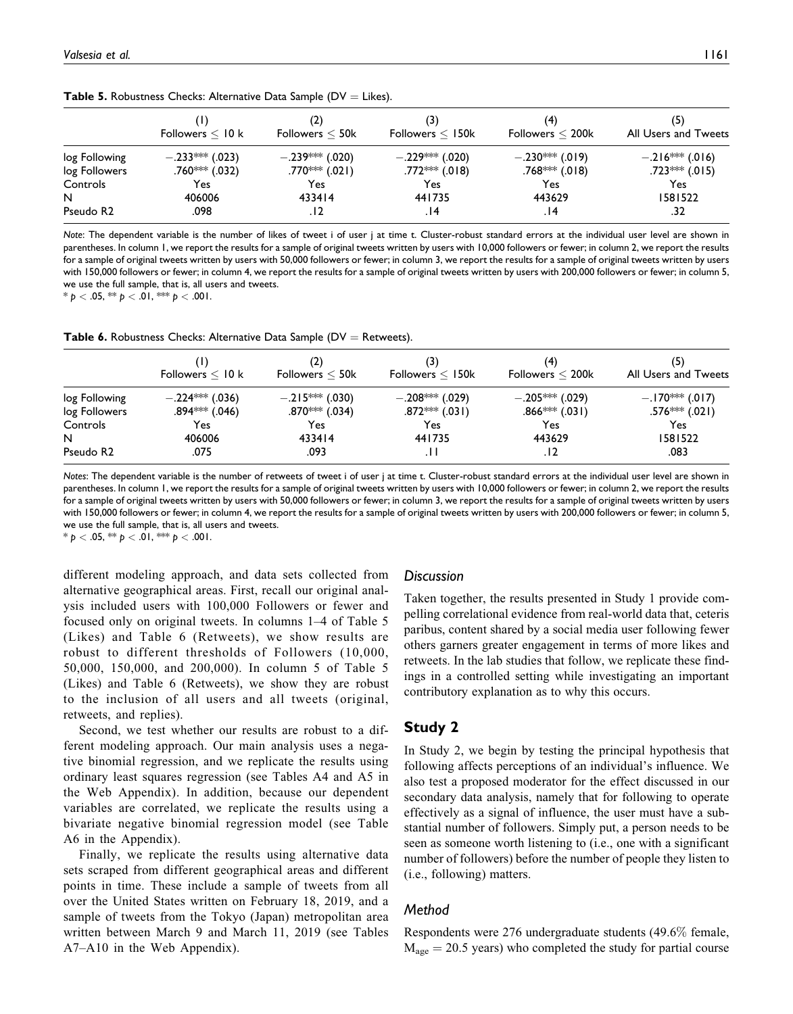| <b>Table 5.</b> Robustness Checks: Alternative Data Sample ( $DV = Likes$ ). |  |  |  |  |  |  |  |
|------------------------------------------------------------------------------|--|--|--|--|--|--|--|
|------------------------------------------------------------------------------|--|--|--|--|--|--|--|

|                       | Followers $\leq 10$ k      | (2)<br>Followers $<$ 50 $k$ | (3)<br>Followers $\leq 150$ k | (4)<br>Followers $<$ 200 $k$ | (5)<br>All Users and Tweets |
|-----------------------|----------------------------|-----------------------------|-------------------------------|------------------------------|-----------------------------|
| log Following         | $-.233***$ (.023)          | $-.239***(.020)$            | $-.229***(.020)$              | $-.230***(.019)$             | $-.216***(.016)$            |
| log Followers         | .760 <sup>∗∗∗</sup> (.032) | $.770***(.021)$             | $.772***$ (.018)              | $.768***$ (.018)             | $.723***$ $(.015)$          |
| Controls              | Yes                        | Yes                         | Yes.                          | Yes                          | Yes.                        |
| N                     | 406006                     | 433414                      | 441735                        | 443629                       | 1581522                     |
| Pseudo R <sub>2</sub> | .098                       | . 12                        | 14.                           | 14.                          | .32                         |

*Note*: The dependent variable is the number of likes of tweet i of user j at time t. Cluster-robust standard errors at the individual user level are shown in parentheses. In column 1, we report the results for a sample of original tweets written by users with 10,000 followers or fewer; in column 2, we report the results for a sample of original tweets written by users with 50,000 followers or fewer; in column 3, we report the results for a sample of original tweets written by users with 150,000 followers or fewer; in column 4, we report the results for a sample of original tweets written by users with 200,000 followers or fewer; in column 5, we use the full sample, that is, all users and tweets.

 $* p < .05, ** p < .01, ** p < .001.$ 

**Table 6.** Robustness Checks: Alternative Data Sample ( $DV =$  Retweets).

|                       | Followers $\leq 10$ k | (2)<br>Followers $<$ 50 $k$ | (3)<br>Followers $\leq 150k$ | (4)<br>Followers $<$ 200 $k$ | (5)<br>All Users and Tweets |
|-----------------------|-----------------------|-----------------------------|------------------------------|------------------------------|-----------------------------|
| log Following         | $-.224***$ (.036)     | $-.215***(.030)$            | $-.208***(.029)$             | $-.205***(.029)$             | $-.170***(.017)$            |
| log Followers         | $.894***$ (.046)      | $.870***$ (.034)            | $.872***$ (.031)             | $.866$ *** (.031)            | $.576*** (.021)$            |
| Controls              | Yes                   | Yes                         | Yes                          | Yes                          | Yes                         |
| N                     | 406006                | 433414                      | 441735                       | 443629                       | 1581522                     |
| Pseudo R <sub>2</sub> | .075                  | .093                        |                              | . 12                         | .083                        |

*Notes*: The dependent variable is the number of retweets of tweet i of user j at time t. Cluster-robust standard errors at the individual user level are shown in parentheses. In column 1, we report the results for a sample of original tweets written by users with 10,000 followers or fewer; in column 2, we report the results for a sample of original tweets written by users with 50,000 followers or fewer; in column 3, we report the results for a sample of original tweets written by users with 150,000 followers or fewer; in column 4, we report the results for a sample of original tweets written by users with 200,000 followers or fewer; in column 5, we use the full sample, that is, all users and tweets.

\* *p* < .05, \*\* *p* < .01, \*\*\* *p* < .001.

different modeling approach, and data sets collected from alternative geographical areas. First, recall our original analysis included users with 100,000 Followers or fewer and focused only on original tweets. In columns 1–4 of Table 5 (Likes) and Table 6 (Retweets), we show results are robust to different thresholds of Followers (10,000, 50,000, 150,000, and 200,000). In column 5 of Table 5 (Likes) and Table 6 (Retweets), we show they are robust to the inclusion of all users and all tweets (original, retweets, and replies).

Second, we test whether our results are robust to a different modeling approach. Our main analysis uses a negative binomial regression, and we replicate the results using ordinary least squares regression (see Tables A4 and A5 in the Web Appendix). In addition, because our dependent variables are correlated, we replicate the results using a bivariate negative binomial regression model (see Table A6 in the Appendix).

Finally, we replicate the results using alternative data sets scraped from different geographical areas and different points in time. These include a sample of tweets from all over the United States written on February 18, 2019, and a sample of tweets from the Tokyo (Japan) metropolitan area written between March 9 and March 11, 2019 (see Tables A7–A10 in the Web Appendix).

#### *Discussion*

Taken together, the results presented in Study 1 provide compelling correlational evidence from real-world data that, ceteris paribus, content shared by a social media user following fewer others garners greater engagement in terms of more likes and retweets. In the lab studies that follow, we replicate these findings in a controlled setting while investigating an important contributory explanation as to why this occurs.

# **Study 2**

In Study 2, we begin by testing the principal hypothesis that following affects perceptions of an individual's influence. We also test a proposed moderator for the effect discussed in our secondary data analysis, namely that for following to operate effectively as a signal of influence, the user must have a substantial number of followers. Simply put, a person needs to be seen as someone worth listening to (i.e., one with a significant number of followers) before the number of people they listen to (i.e., following) matters.

## *Method*

Respondents were 276 undergraduate students (49.6% female,  $M_{\text{age}} = 20.5$  years) who completed the study for partial course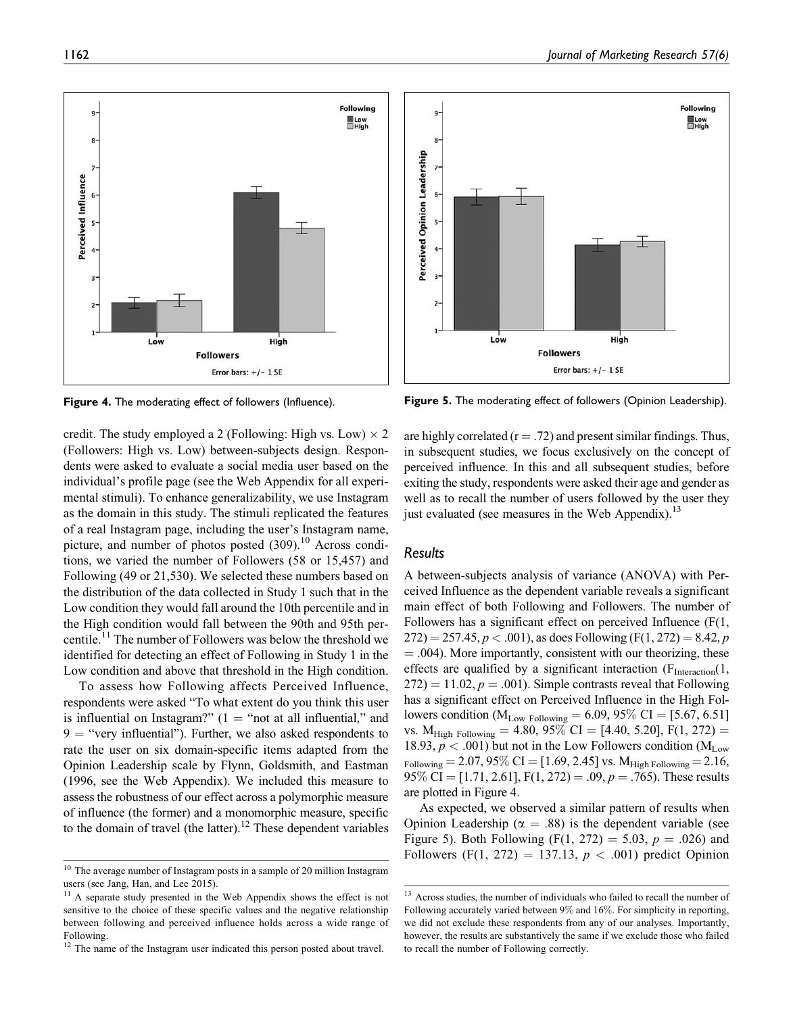

credit. The study employed a 2 (Following: High vs. Low)  $\times$  2 (Followers: High vs. Low) between-subjects design. Respondents were asked to evaluate a social media user based on the individual's profile page (see the Web Appendix for all experimental stimuli). To enhance generalizability, we use Instagram as the domain in this study. The stimuli replicated the features of a real Instagram page, including the user's Instagram name, picture, and number of photos posted  $(309)$ .<sup>10</sup> Across conditions, we varied the number of Followers (58 or 15,457) and Following (49 or 21,530). We selected these numbers based on the distribution of the data collected in Study 1 such that in the Low condition they would fall around the 10th percentile and in the High condition would fall between the 90th and 95th percentile.<sup>11</sup> The number of Followers was below the threshold we identified for detecting an effect of Following in Study 1 in the Low condition and above that threshold in the High condition.

To assess how Following affects Perceived Influence, respondents were asked "To what extent do you think this user is influential on Instagram?"  $(1 - \text{``not at all influential''}$  and  $9 =$  "very influential"). Further, we also asked respondents to rate the user on six domain-specific items adapted from the Opinion Leadership scale by Flynn, Goldsmith, and Eastman (1996, see the Web Appendix). We included this measure to assess the robustness of our effect across a polymorphic measure of influence (the former) and a monomorphic measure, specific to the domain of travel (the latter).<sup>12</sup> These dependent variables



**Figure 4.** The moderating effect of followers (Influence). **Figure 5.** The moderating effect of followers (Opinion Leadership).

are highly correlated ( $r = .72$ ) and present similar findings. Thus, in subsequent studies, we focus exclusively on the concept of perceived influence. In this and all subsequent studies, before exiting the study, respondents were asked their age and gender as well as to recall the number of users followed by the user they just evaluated (see measures in the Web Appendix).<sup>13</sup>

# *Results*

A between-subjects analysis of variance (ANOVA) with Perceived Influence as the dependent variable reveals a significant main effect of both Following and Followers. The number of Followers has a significant effect on perceived Influence (F(1,  $272$ ) = 257.45, p < .001), as does Following (F(1, 272) = 8.42, p  $=$  .004). More importantly, consistent with our theorizing, these effects are qualified by a significant interaction  $(F<sub>Interaction</sub>(1,$  $272$ ) = 11.02, p = .001). Simple contrasts reveal that Following has a significant effect on Perceived Influence in the High Followers condition ( $M_{Low\ Following} = 6.09, 95\% \ CI = [5.67, 6.51]$ vs. M<sub>High Following</sub> = 4.80, 95% CI = [4.40, 5.20], F(1, 272) = 18.93,  $p < .001$ ) but not in the Low Followers condition (M<sub>Low</sub>)  $_{\text{Following}} = 2.07, 95\% \text{ CI} = [1.69, 2.45] \text{ vs. } M_{\text{High Following}} = 2.16,$ 95% CI = [1.71, 2.61], F(1, 272) = .09,  $p = .765$ ). These results are plotted in Figure 4.

As expected, we observed a similar pattern of results when Opinion Leadership ( $\alpha = .88$ ) is the dependent variable (see Figure 5). Both Following (F(1, 272) = 5.03,  $p = .026$ ) and Followers (F(1, 272) = 137.13,  $p < .001$ ) predict Opinion

<sup>10</sup> The average number of Instagram posts in a sample of 20 million Instagram users (see Jang, Han, and Lee 2015).

A separate study presented in the Web Appendix shows the effect is not sensitive to the choice of these specific values and the negative relationship between following and perceived influence holds across a wide range of Following.

<sup>&</sup>lt;sup>12</sup> The name of the Instagram user indicated this person posted about travel.

<sup>&</sup>lt;sup>13</sup> Across studies, the number of individuals who failed to recall the number of Following accurately varied between 9% and 16%. For simplicity in reporting, we did not exclude these respondents from any of our analyses. Importantly, however, the results are substantively the same if we exclude those who failed to recall the number of Following correctly.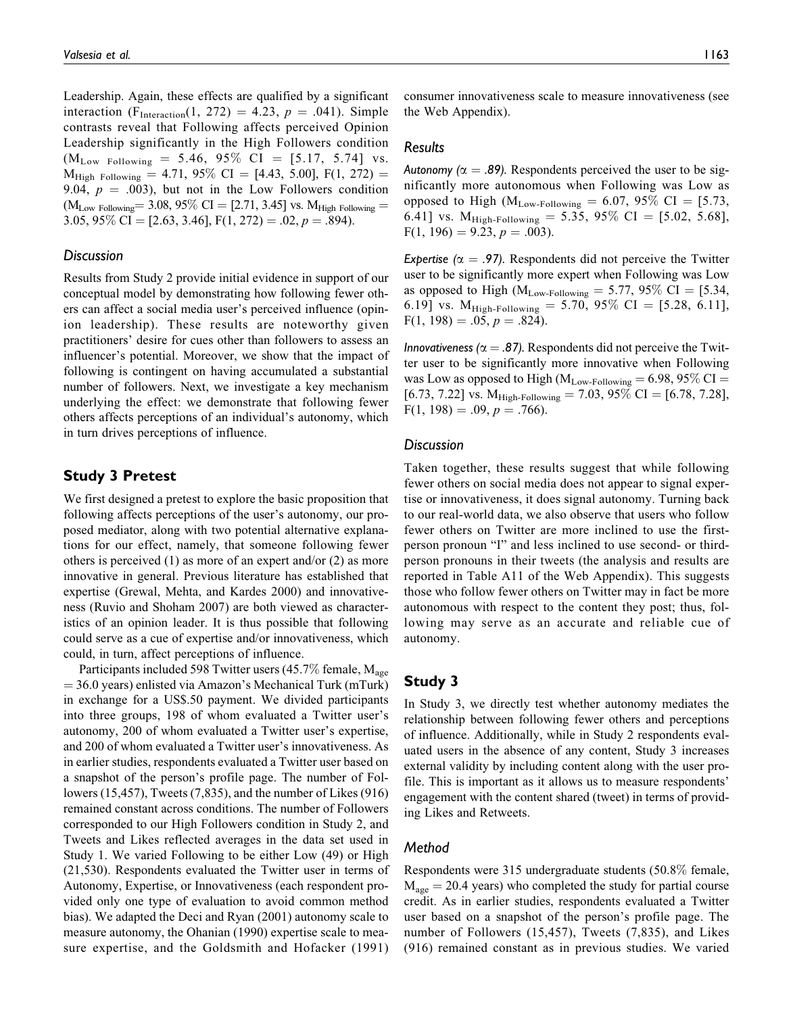Leadership. Again, these effects are qualified by a significant interaction (F<sub>Interaction</sub>(1, 272) = 4.23,  $p = .041$ ). Simple contrasts reveal that Following affects perceived Opinion Leadership significantly in the High Followers condition  $(M_{Low\ Following} = 5.46, 95\% \ CI = [5.17, 5.74] \ vs.$  $M_{High\ Following} = 4.71, 95\% \ CI = [4.43, 5.00], F(1, 272) =$ 9.04,  $p = .003$ ), but not in the Low Followers condition  $(M_{Low\ Following} = 3.08, 95\% \ CI = [2.71, 3.45] \ vs. M_{High\ Following} =$ 3.05, 95\% CI = [2.63, 3.46], F(1, 272) = .02, p = .894).

## *Discussion*

Results from Study 2 provide initial evidence in support of our conceptual model by demonstrating how following fewer others can affect a social media user's perceived influence (opinion leadership). These results are noteworthy given practitioners' desire for cues other than followers to assess an influencer's potential. Moreover, we show that the impact of following is contingent on having accumulated a substantial number of followers. Next, we investigate a key mechanism underlying the effect: we demonstrate that following fewer others affects perceptions of an individual's autonomy, which in turn drives perceptions of influence.

# **Study 3 Pretest**

We first designed a pretest to explore the basic proposition that following affects perceptions of the user's autonomy, our proposed mediator, along with two potential alternative explanations for our effect, namely, that someone following fewer others is perceived (1) as more of an expert and/or (2) as more innovative in general. Previous literature has established that expertise (Grewal, Mehta, and Kardes 2000) and innovativeness (Ruvio and Shoham 2007) are both viewed as characteristics of an opinion leader. It is thus possible that following could serve as a cue of expertise and/or innovativeness, which could, in turn, affect perceptions of influence.

Participants included 598 Twitter users (45.7% female,  $M_{\text{age}}$  $=$  36.0 years) enlisted via Amazon's Mechanical Turk (mTurk) in exchange for a US\$.50 payment. We divided participants into three groups, 198 of whom evaluated a Twitter user's autonomy, 200 of whom evaluated a Twitter user's expertise, and 200 of whom evaluated a Twitter user's innovativeness. As in earlier studies, respondents evaluated a Twitter user based on a snapshot of the person's profile page. The number of Followers (15,457), Tweets (7,835), and the number of Likes (916) remained constant across conditions. The number of Followers corresponded to our High Followers condition in Study 2, and Tweets and Likes reflected averages in the data set used in Study 1. We varied Following to be either Low (49) or High (21,530). Respondents evaluated the Twitter user in terms of Autonomy, Expertise, or Innovativeness (each respondent provided only one type of evaluation to avoid common method bias). We adapted the Deci and Ryan (2001) autonomy scale to measure autonomy, the Ohanian (1990) expertise scale to measure expertise, and the Goldsmith and Hofacker (1991) consumer innovativeness scale to measure innovativeness (see the Web Appendix).

#### *Results*

*Autonomy (* $\alpha = .89$ *).* Respondents perceived the user to be significantly more autonomous when Following was Low as opposed to High ( $M_{Low\text{-}Following} = 6.07, 95\% \text{ CI} = [5.73,$ 6.41] vs.  $M_{High-Following} = 5.35, 95\% \text{ CI} = [5.02, 5.68],$  $F(1, 196) = 9.23, p = .003$ .

*Expertise (* $\alpha$  *= .97).* Respondents did not perceive the Twitter user to be significantly more expert when Following was Low as opposed to High ( $M_{Low\text{-}Following} = 5.77, 95\% \text{ CI} = [5.34,$ 6.19] vs.  $M_{High\text{-}Following} = 5.70, 95\% \text{ CI} = [5.28, 6.11],$  $F(1, 198) = .05, p = .824$ .

*Innovativeness (* $\alpha = .87$ *).* Respondents did not perceive the Twitter user to be significantly more innovative when Following was Low as opposed to High ( $\mathrm{M}_{\mathrm{Low\text{-}Following}} = 6.98, 95\%$  CI  $=$ [6.73, 7.22] vs.  $M_{High-Following} = 7.03, 95\% \text{ CI} = [6.78, 7.28],$  $F(1, 198) = .09, p = .766$ .

#### *Discussion*

Taken together, these results suggest that while following fewer others on social media does not appear to signal expertise or innovativeness, it does signal autonomy. Turning back to our real-world data, we also observe that users who follow fewer others on Twitter are more inclined to use the firstperson pronoun "I" and less inclined to use second- or thirdperson pronouns in their tweets (the analysis and results are reported in Table A11 of the Web Appendix). This suggests those who follow fewer others on Twitter may in fact be more autonomous with respect to the content they post; thus, following may serve as an accurate and reliable cue of autonomy.

# **Study 3**

In Study 3, we directly test whether autonomy mediates the relationship between following fewer others and perceptions of influence. Additionally, while in Study 2 respondents evaluated users in the absence of any content, Study 3 increases external validity by including content along with the user profile. This is important as it allows us to measure respondents' engagement with the content shared (tweet) in terms of providing Likes and Retweets.

#### *Method*

Respondents were 315 undergraduate students (50.8% female,  $M_{\text{age}} = 20.4$  years) who completed the study for partial course credit. As in earlier studies, respondents evaluated a Twitter user based on a snapshot of the person's profile page. The number of Followers (15,457), Tweets (7,835), and Likes (916) remained constant as in previous studies. We varied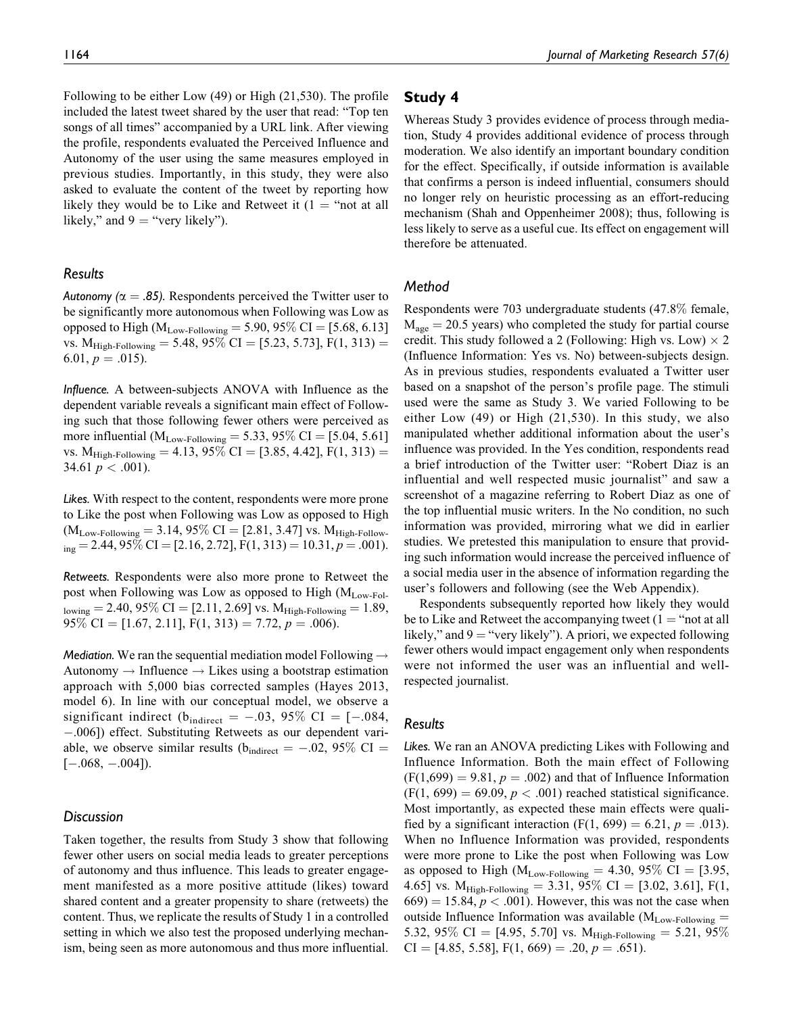Following to be either Low (49) or High (21,530). The profile included the latest tweet shared by the user that read: "Top ten songs of all times" accompanied by a URL link. After viewing the profile, respondents evaluated the Perceived Influence and Autonomy of the user using the same measures employed in previous studies. Importantly, in this study, they were also asked to evaluate the content of the tweet by reporting how likely they would be to Like and Retweet it  $(1 - \text{``not at all})$ likely," and  $9 =$  "very likely").

# *Results*

*Autonomy (* $\alpha = .85$ *).* Respondents perceived the Twitter user to be significantly more autonomous when Following was Low as opposed to High ( $M_{Low\text{-}Following} = 5.90, 95\% \text{ CI} = [5.68, 6.13]$ vs.  $M_{High\text{-}Following} = 5.48, 95\% \text{ CI} = [5.23, 5.73], F(1, 313) =$ 6.01,  $p = .015$ ).

*Influence.* A between-subjects ANOVA with Influence as the dependent variable reveals a significant main effect of Following such that those following fewer others were perceived as more influential ( $M_{Low\text{-}Following} = 5.33, 95\% \text{ CI} = [5.04, 5.61]$ vs.  $M_{High\text{-}Following} = 4.13, 95\% CI = [3.85, 4.42], F(1, 313) =$ 34.61  $p < .001$ ).

*Likes.* With respect to the content, respondents were more prone to Like the post when Following was Low as opposed to High  $(M_{Low\text{-}Following} = 3.14, 95\% \text{ CI} = [2.81, 3.47] \text{ vs. } M_{High\text{-}Follow-}$  $_{\text{ing}}$  = 2.44, 95\% CI = [2.16, 2.72], F(1, 313) = 10.31, p = .001).

*Retweets.* Respondents were also more prone to Retweet the post when Following was Low as opposed to High (MLow-Fol- $_{\text{lowing}} = 2.40, 95\% \text{ CI} = [2.11, 2.69] \text{ vs. } \text{M}_{\text{High-Following}} = 1.89,$ 95% CI = [1.67, 2.11], F(1, 313) = 7.72,  $p = .006$ ).

*Mediation.* We ran the sequential mediation model Following  $\rightarrow$ Autonomy  $\rightarrow$  Influence  $\rightarrow$  Likes using a bootstrap estimation approach with 5,000 bias corrected samples (Hayes 2013, model 6). In line with our conceptual model, we observe a significant indirect ( $b_{indirect} = -.03, 95\% \text{ CI} = [-.084,$ -.006]) effect. Substituting Retweets as our dependent variable, we observe similar results ( $b_{indirect} = -.02, 95\% \text{ CI} =$  $[-.068, -.004]$ ).

## *Discussion*

Taken together, the results from Study 3 show that following fewer other users on social media leads to greater perceptions of autonomy and thus influence. This leads to greater engagement manifested as a more positive attitude (likes) toward shared content and a greater propensity to share (retweets) the content. Thus, we replicate the results of Study 1 in a controlled setting in which we also test the proposed underlying mechanism, being seen as more autonomous and thus more influential.

# **Study 4**

Whereas Study 3 provides evidence of process through mediation, Study 4 provides additional evidence of process through moderation. We also identify an important boundary condition for the effect. Specifically, if outside information is available that confirms a person is indeed influential, consumers should no longer rely on heuristic processing as an effort-reducing mechanism (Shah and Oppenheimer 2008); thus, following is less likely to serve as a useful cue. Its effect on engagement will therefore be attenuated.

# *Method*

Respondents were 703 undergraduate students (47.8% female,  $M<sub>age</sub> = 20.5$  years) who completed the study for partial course credit. This study followed a 2 (Following: High vs. Low)  $\times$  2 (Influence Information: Yes vs. No) between-subjects design. As in previous studies, respondents evaluated a Twitter user based on a snapshot of the person's profile page. The stimuli used were the same as Study 3. We varied Following to be either Low (49) or High (21,530). In this study, we also manipulated whether additional information about the user's influence was provided. In the Yes condition, respondents read a brief introduction of the Twitter user: "Robert Diaz is an influential and well respected music journalist" and saw a screenshot of a magazine referring to Robert Diaz as one of the top influential music writers. In the No condition, no such information was provided, mirroring what we did in earlier studies. We pretested this manipulation to ensure that providing such information would increase the perceived influence of a social media user in the absence of information regarding the user's followers and following (see the Web Appendix).

Respondents subsequently reported how likely they would be to Like and Retweet the accompanying tweet  $(1 - \text{``not at all})$ likely," and  $9 =$ "very likely"). A priori, we expected following fewer others would impact engagement only when respondents were not informed the user was an influential and wellrespected journalist.

## *Results*

*Likes.* We ran an ANOVA predicting Likes with Following and Influence Information. Both the main effect of Following  $(F(1,699) = 9.81, p = .002)$  and that of Influence Information  $(F(1, 699) = 69.09, p < .001)$  reached statistical significance. Most importantly, as expected these main effects were qualified by a significant interaction (F(1, 699) = 6.21,  $p = .013$ ). When no Influence Information was provided, respondents were more prone to Like the post when Following was Low as opposed to High ( $M_{Low\text{-}Following} = 4.30, 95\% \text{ CI} = [3.95,$ 4.65] vs.  $M_{High\text{-}Following} = 3.31, 95\% \text{ CI} = [3.02, 3.61], F(1,$  $(669) = 15.84, p < .001$ . However, this was not the case when outside Influence Information was available ( $M_{Low\text{-}Following}$  = 5.32, 95% CI = [4.95, 5.70] vs.  $M_{High\-Following} = 5.21, 95\%$  $CI = [4.85, 5.58], F(1, 669) = .20, p = .651).$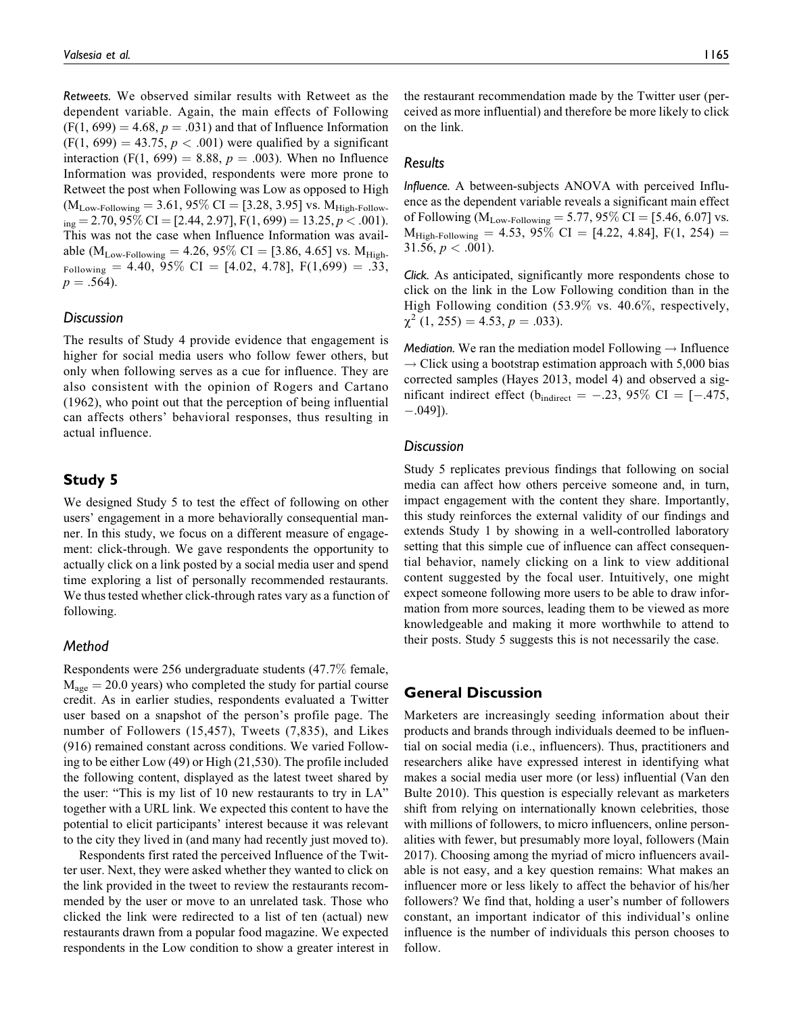*Retweets.* We observed similar results with Retweet as the dependent variable. Again, the main effects of Following  $(F(1, 699) = 4.68, p = .031)$  and that of Influence Information  $(F(1, 699) = 43.75, p < .001)$  were qualified by a significant interaction (F(1, 699) = 8.88,  $p = .003$ ). When no Influence Information was provided, respondents were more prone to Retweet the post when Following was Low as opposed to High  $(M_{Low\text{-}Following} = 3.61, 95\% \text{ CI} = [3.28, 3.95] \text{ vs. } M_{High\text{-}Follow-}$  $_{\text{ing}}$  = 2.70, 95\% CI = [2.44, 2.97], F(1, 699) = 13.25, p < .001). This was not the case when Influence Information was available ( $M_{Low\text{-}Following} = 4.26, 95\% \text{ CI} = [3.86, 4.65] \text{ vs. } M_{High\text{-}}$  $_{\text{Following}}$  = 4.40, 95\% CI = [4.02, 4.78], F(1,699) = .33,  $p = .564$ ).

## *Discussion*

The results of Study 4 provide evidence that engagement is higher for social media users who follow fewer others, but only when following serves as a cue for influence. They are also consistent with the opinion of Rogers and Cartano (1962), who point out that the perception of being influential can affects others' behavioral responses, thus resulting in actual influence.

# **Study 5**

We designed Study 5 to test the effect of following on other users' engagement in a more behaviorally consequential manner. In this study, we focus on a different measure of engagement: click-through. We gave respondents the opportunity to actually click on a link posted by a social media user and spend time exploring a list of personally recommended restaurants. We thus tested whether click-through rates vary as a function of following.

## *Method*

Respondents were 256 undergraduate students (47.7% female,  $M_{\text{age}} = 20.0$  years) who completed the study for partial course credit. As in earlier studies, respondents evaluated a Twitter user based on a snapshot of the person's profile page. The number of Followers (15,457), Tweets (7,835), and Likes (916) remained constant across conditions. We varied Following to be either Low (49) or High (21,530). The profile included the following content, displayed as the latest tweet shared by the user: "This is my list of 10 new restaurants to try in LA" together with a URL link. We expected this content to have the potential to elicit participants' interest because it was relevant to the city they lived in (and many had recently just moved to).

Respondents first rated the perceived Influence of the Twitter user. Next, they were asked whether they wanted to click on the link provided in the tweet to review the restaurants recommended by the user or move to an unrelated task. Those who clicked the link were redirected to a list of ten (actual) new restaurants drawn from a popular food magazine. We expected respondents in the Low condition to show a greater interest in the restaurant recommendation made by the Twitter user (perceived as more influential) and therefore be more likely to click on the link.

## *Results*

*Influence.* A between-subjects ANOVA with perceived Influence as the dependent variable reveals a significant main effect of Following ( $M_{Low\text{-}Following} = 5.77, 95\% \text{ CI} = [5.46, 6.07] \text{ vs.}$  $M_{High\text{-}Following} = 4.53, 95\% \text{ CI} = [4.22, 4.84], F(1, 254) =$ 31.56,  $p < .001$ ).

*Click.* As anticipated, significantly more respondents chose to click on the link in the Low Following condition than in the High Following condition (53.9% vs. 40.6%, respectively,  $\chi^2$  (1, 255) = 4.53, p = .033).

*Mediation.* We ran the mediation model Following  $\rightarrow$  Influence  $\rightarrow$  Click using a bootstrap estimation approach with 5,000 bias corrected samples (Hayes 2013, model 4) and observed a significant indirect effect ( $b_{indirect} = -.23, 95\% \text{ CI} = [-.475,$ -.049]).

#### *Discussion*

Study 5 replicates previous findings that following on social media can affect how others perceive someone and, in turn, impact engagement with the content they share. Importantly, this study reinforces the external validity of our findings and extends Study 1 by showing in a well-controlled laboratory setting that this simple cue of influence can affect consequential behavior, namely clicking on a link to view additional content suggested by the focal user. Intuitively, one might expect someone following more users to be able to draw information from more sources, leading them to be viewed as more knowledgeable and making it more worthwhile to attend to their posts. Study 5 suggests this is not necessarily the case.

# **General Discussion**

Marketers are increasingly seeding information about their products and brands through individuals deemed to be influential on social media (i.e., influencers). Thus, practitioners and researchers alike have expressed interest in identifying what makes a social media user more (or less) influential (Van den Bulte 2010). This question is especially relevant as marketers shift from relying on internationally known celebrities, those with millions of followers, to micro influencers, online personalities with fewer, but presumably more loyal, followers (Main 2017). Choosing among the myriad of micro influencers available is not easy, and a key question remains: What makes an influencer more or less likely to affect the behavior of his/her followers? We find that, holding a user's number of followers constant, an important indicator of this individual's online influence is the number of individuals this person chooses to follow.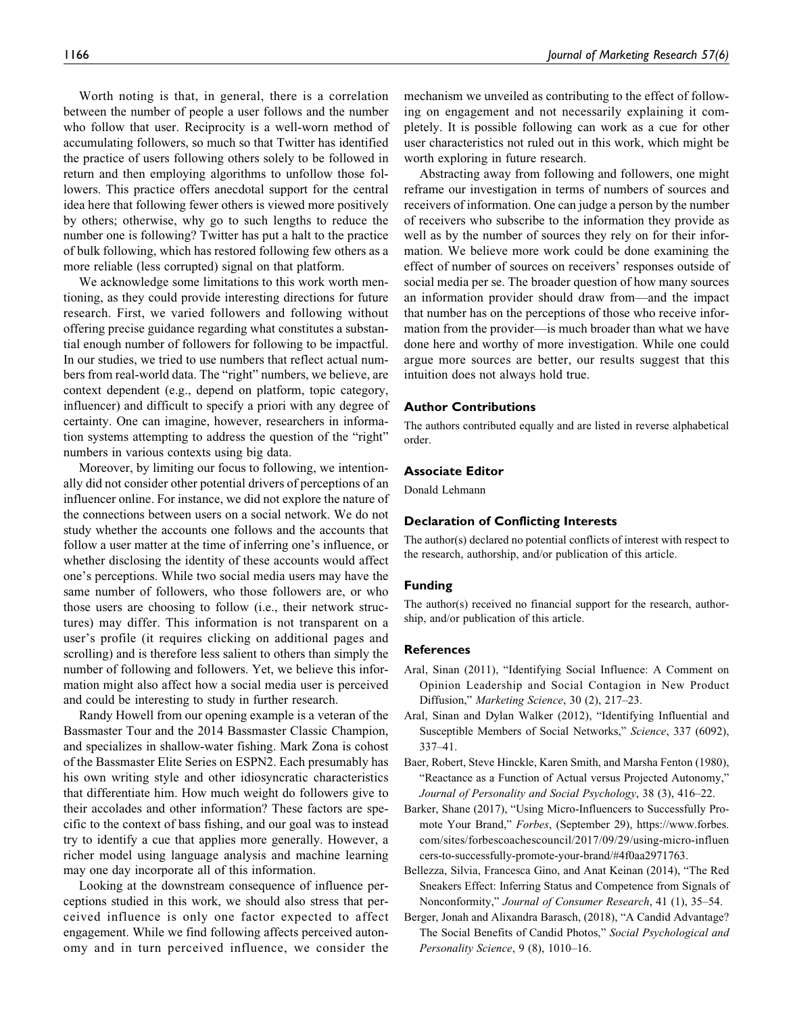Worth noting is that, in general, there is a correlation between the number of people a user follows and the number who follow that user. Reciprocity is a well-worn method of accumulating followers, so much so that Twitter has identified the practice of users following others solely to be followed in return and then employing algorithms to unfollow those followers. This practice offers anecdotal support for the central idea here that following fewer others is viewed more positively by others; otherwise, why go to such lengths to reduce the number one is following? Twitter has put a halt to the practice of bulk following, which has restored following few others as a more reliable (less corrupted) signal on that platform.

We acknowledge some limitations to this work worth mentioning, as they could provide interesting directions for future research. First, we varied followers and following without offering precise guidance regarding what constitutes a substantial enough number of followers for following to be impactful. In our studies, we tried to use numbers that reflect actual numbers from real-world data. The "right" numbers, we believe, are context dependent (e.g., depend on platform, topic category, influencer) and difficult to specify a priori with any degree of certainty. One can imagine, however, researchers in information systems attempting to address the question of the "right" numbers in various contexts using big data.

Moreover, by limiting our focus to following, we intentionally did not consider other potential drivers of perceptions of an influencer online. For instance, we did not explore the nature of the connections between users on a social network. We do not study whether the accounts one follows and the accounts that follow a user matter at the time of inferring one's influence, or whether disclosing the identity of these accounts would affect one's perceptions. While two social media users may have the same number of followers, who those followers are, or who those users are choosing to follow (i.e., their network structures) may differ. This information is not transparent on a user's profile (it requires clicking on additional pages and scrolling) and is therefore less salient to others than simply the number of following and followers. Yet, we believe this information might also affect how a social media user is perceived and could be interesting to study in further research.

Randy Howell from our opening example is a veteran of the Bassmaster Tour and the 2014 Bassmaster Classic Champion, and specializes in shallow-water fishing. Mark Zona is cohost of the Bassmaster Elite Series on ESPN2. Each presumably has his own writing style and other idiosyncratic characteristics that differentiate him. How much weight do followers give to their accolades and other information? These factors are specific to the context of bass fishing, and our goal was to instead try to identify a cue that applies more generally. However, a richer model using language analysis and machine learning may one day incorporate all of this information.

Looking at the downstream consequence of influence perceptions studied in this work, we should also stress that perceived influence is only one factor expected to affect engagement. While we find following affects perceived autonomy and in turn perceived influence, we consider the mechanism we unveiled as contributing to the effect of following on engagement and not necessarily explaining it completely. It is possible following can work as a cue for other user characteristics not ruled out in this work, which might be worth exploring in future research.

Abstracting away from following and followers, one might reframe our investigation in terms of numbers of sources and receivers of information. One can judge a person by the number of receivers who subscribe to the information they provide as well as by the number of sources they rely on for their information. We believe more work could be done examining the effect of number of sources on receivers' responses outside of social media per se. The broader question of how many sources an information provider should draw from—and the impact that number has on the perceptions of those who receive information from the provider—is much broader than what we have done here and worthy of more investigation. While one could argue more sources are better, our results suggest that this intuition does not always hold true.

#### **Author Contributions**

The authors contributed equally and are listed in reverse alphabetical order.

#### **Associate Editor**

Donald Lehmann

#### **Declaration of Conflicting Interests**

The author(s) declared no potential conflicts of interest with respect to the research, authorship, and/or publication of this article.

#### **Funding**

The author(s) received no financial support for the research, authorship, and/or publication of this article.

#### **References**

- Aral, Sinan (2011), "Identifying Social Influence: A Comment on Opinion Leadership and Social Contagion in New Product Diffusion," Marketing Science, 30 (2), 217–23.
- Aral, Sinan and Dylan Walker (2012), "Identifying Influential and Susceptible Members of Social Networks," Science, 337 (6092), 337–41.
- Baer, Robert, Steve Hinckle, Karen Smith, and Marsha Fenton (1980), "Reactance as a Function of Actual versus Projected Autonomy," Journal of Personality and Social Psychology, 38 (3), 416–22.
- Barker, Shane (2017), "Using Micro-Influencers to Successfully Promote Your Brand," Forbes, (September 29), [https://www.forbes.](https://www.forbes.com/sites/forbescoachescouncil/2017/09/29/using-micro-influencers-to-successfully-promote-your-brand/#4f0aa2971763) [com/sites/forbescoachescouncil/2017/09/29/using-micro-influen](https://www.forbes.com/sites/forbescoachescouncil/2017/09/29/using-micro-influencers-to-successfully-promote-your-brand/#4f0aa2971763) [cers-to-successfully-promote-your-brand/#4f0aa2971763.](https://www.forbes.com/sites/forbescoachescouncil/2017/09/29/using-micro-influencers-to-successfully-promote-your-brand/#4f0aa2971763)
- Bellezza, Silvia, Francesca Gino, and Anat Keinan (2014), "The Red Sneakers Effect: Inferring Status and Competence from Signals of Nonconformity," Journal of Consumer Research, 41 (1), 35–54.
- Berger, Jonah and Alixandra Barasch, (2018), "A Candid Advantage? The Social Benefits of Candid Photos," Social Psychological and Personality Science, 9 (8), 1010-16.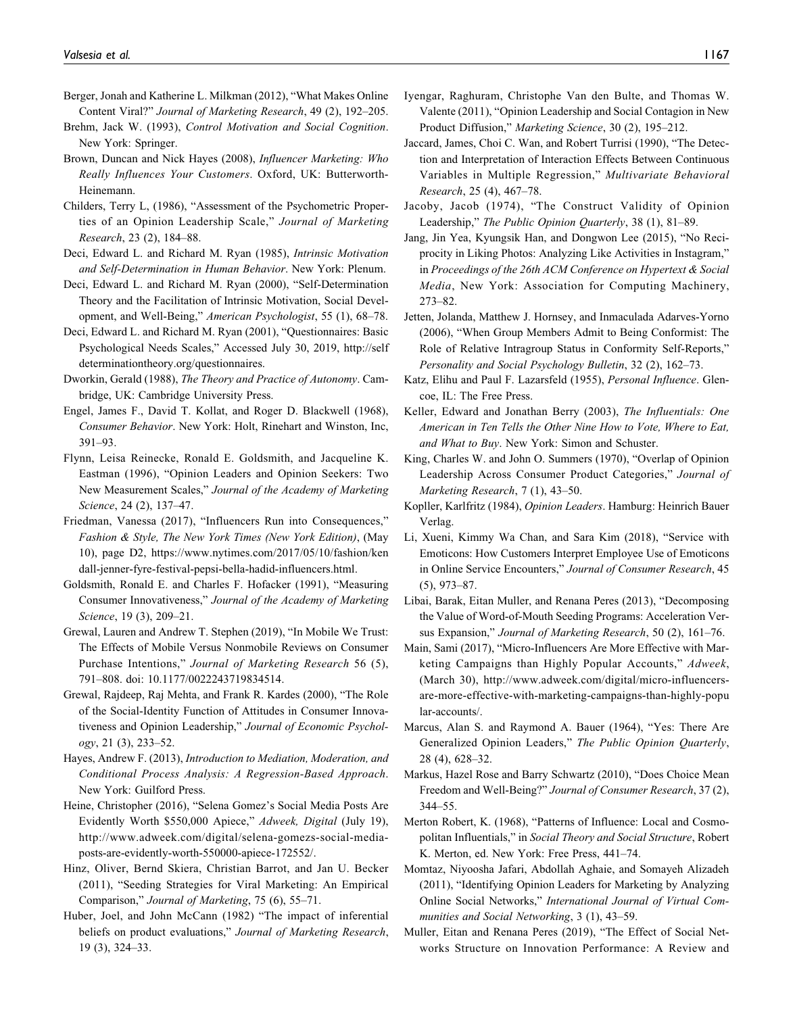- Berger, Jonah and Katherine L. Milkman (2012), "What Makes Online Content Viral?" Journal of Marketing Research, 49 (2), 192–205.
- Brehm, Jack W. (1993), Control Motivation and Social Cognition. New York: Springer.
- Brown, Duncan and Nick Hayes (2008), Influencer Marketing: Who Really Influences Your Customers. Oxford, UK: Butterworth-Heinemann.
- Childers, Terry L, (1986), "Assessment of the Psychometric Properties of an Opinion Leadership Scale," Journal of Marketing Research, 23 (2), 184–88.
- Deci, Edward L. and Richard M. Ryan (1985), Intrinsic Motivation and Self-Determination in Human Behavior. New York: Plenum.
- Deci, Edward L. and Richard M. Ryan (2000), "Self-Determination Theory and the Facilitation of Intrinsic Motivation, Social Development, and Well-Being," American Psychologist, 55 (1), 68–78.
- Deci, Edward L. and Richard M. Ryan (2001), "Questionnaires: Basic Psychological Needs Scales," Accessed July 30, 2019, [http://self](http://selfdeterminationtheory.org/%20questionnaires) [determinationtheory.org/questionnaires.](http://selfdeterminationtheory.org/%20questionnaires)
- Dworkin, Gerald (1988), The Theory and Practice of Autonomy. Cambridge, UK: Cambridge University Press.
- Engel, James F., David T. Kollat, and Roger D. Blackwell (1968), Consumer Behavior. New York: Holt, Rinehart and Winston, Inc, 391–93.
- Flynn, Leisa Reinecke, Ronald E. Goldsmith, and Jacqueline K. Eastman (1996), "Opinion Leaders and Opinion Seekers: Two New Measurement Scales," Journal of the Academy of Marketing Science, 24 (2), 137–47.
- Friedman, Vanessa (2017), "Influencers Run into Consequences," Fashion & Style, The New York Times (New York Edition), (May 10), page D2, [https://www.nytimes.com/2017/05/10/fashion/ken](https://www.nytimes.com/2017/05/10/fashion/kendall-jenner-fyre-festival-pepsi-bella-hadid-influencers.html) [dall-jenner-fyre-festival-pepsi-bella-hadid-influencers.html.](https://www.nytimes.com/2017/05/10/fashion/kendall-jenner-fyre-festival-pepsi-bella-hadid-influencers.html)
- Goldsmith, Ronald E. and Charles F. Hofacker (1991), "Measuring Consumer Innovativeness," Journal of the Academy of Marketing Science, 19 (3), 209-21.
- Grewal, Lauren and Andrew T. Stephen (2019), "In Mobile We Trust: The Effects of Mobile Versus Nonmobile Reviews on Consumer Purchase Intentions," Journal of Marketing Research 56 (5), 791–808. doi: 10.1177/0022243719834514.
- Grewal, Rajdeep, Raj Mehta, and Frank R. Kardes (2000), "The Role of the Social-Identity Function of Attitudes in Consumer Innovativeness and Opinion Leadership," Journal of Economic Psychol $ogy, 21 (3), 233 - 52.$
- Hayes, Andrew F. (2013), Introduction to Mediation, Moderation, and Conditional Process Analysis: A Regression-Based Approach. New York: Guilford Press.
- Heine, Christopher (2016), "Selena Gomez's Social Media Posts Are Evidently Worth \$550,000 Apiece," Adweek, Digital (July 19), [http://www.adweek.com/digital/selena-gomezs-social-media](http://www.adweek.com/digital/selena-gomezs-social-media-posts-are-evidently-worth-550000-apiece-172552/)[posts-are-evidently-worth-550000-apiece-172552/.](http://www.adweek.com/digital/selena-gomezs-social-media-posts-are-evidently-worth-550000-apiece-172552/)
- Hinz, Oliver, Bernd Skiera, Christian Barrot, and Jan U. Becker (2011), "Seeding Strategies for Viral Marketing: An Empirical Comparison," Journal of Marketing, 75 (6), 55–71.
- Huber, Joel, and John McCann (1982) "The impact of inferential beliefs on product evaluations," Journal of Marketing Research, 19 (3), 324–33.
- Iyengar, Raghuram, Christophe Van den Bulte, and Thomas W. Valente (2011), "Opinion Leadership and Social Contagion in New Product Diffusion," Marketing Science, 30 (2), 195–212.
- Jaccard, James, Choi C. Wan, and Robert Turrisi (1990), "The Detection and Interpretation of Interaction Effects Between Continuous Variables in Multiple Regression," Multivariate Behavioral Research, 25 (4), 467–78.
- Jacoby, Jacob (1974), "The Construct Validity of Opinion Leadership," The Public Opinion Quarterly, 38 (1), 81–89.
- Jang, Jin Yea, Kyungsik Han, and Dongwon Lee (2015), "No Reciprocity in Liking Photos: Analyzing Like Activities in Instagram," in Proceedings of the 26th ACM Conference on Hypertext & Social Media, New York: Association for Computing Machinery, 273–82.
- Jetten, Jolanda, Matthew J. Hornsey, and Inmaculada Adarves-Yorno (2006), "When Group Members Admit to Being Conformist: The Role of Relative Intragroup Status in Conformity Self-Reports," Personality and Social Psychology Bulletin, 32 (2), 162–73.
- Katz, Elihu and Paul F. Lazarsfeld (1955), Personal Influence. Glencoe, IL: The Free Press.
- Keller, Edward and Jonathan Berry (2003), The Influentials: One American in Ten Tells the Other Nine How to Vote, Where to Eat, and What to Buy. New York: Simon and Schuster.
- King, Charles W. and John O. Summers (1970), "Overlap of Opinion Leadership Across Consumer Product Categories," Journal of Marketing Research, 7 (1), 43–50.
- Kopller, Karlfritz (1984), Opinion Leaders. Hamburg: Heinrich Bauer Verlag.
- Li, Xueni, Kimmy Wa Chan, and Sara Kim (2018), "Service with Emoticons: How Customers Interpret Employee Use of Emoticons in Online Service Encounters," Journal of Consumer Research, 45 (5), 973–87.
- Libai, Barak, Eitan Muller, and Renana Peres (2013), "Decomposing the Value of Word-of-Mouth Seeding Programs: Acceleration Versus Expansion," Journal of Marketing Research, 50 (2), 161–76.
- Main, Sami (2017), "Micro-Influencers Are More Effective with Marketing Campaigns than Highly Popular Accounts," Adweek, (March 30), [http://www.adweek.com/digital/micro-influencers](http://www.adweek.com/digital/micro-influencers-are-more-effective-with-marketing-campaigns-than-highly-popular-accounts/)[are-more-effective-with-marketing-campaigns-than-highly-popu](http://www.adweek.com/digital/micro-influencers-are-more-effective-with-marketing-campaigns-than-highly-popular-accounts/) [lar-accounts/](http://www.adweek.com/digital/micro-influencers-are-more-effective-with-marketing-campaigns-than-highly-popular-accounts/).
- Marcus, Alan S. and Raymond A. Bauer (1964), "Yes: There Are Generalized Opinion Leaders," The Public Opinion Quarterly, 28 (4), 628–32.
- Markus, Hazel Rose and Barry Schwartz (2010), "Does Choice Mean Freedom and Well-Being?" Journal of Consumer Research, 37 (2), 344–55.
- Merton Robert, K. (1968), "Patterns of Influence: Local and Cosmopolitan Influentials," in Social Theory and Social Structure, Robert K. Merton, ed. New York: Free Press, 441–74.
- Momtaz, Niyoosha Jafari, Abdollah Aghaie, and Somayeh Alizadeh (2011), "Identifying Opinion Leaders for Marketing by Analyzing Online Social Networks," International Journal of Virtual Communities and Social Networking, 3 (1), 43–59.
- Muller, Eitan and Renana Peres (2019), "The Effect of Social Networks Structure on Innovation Performance: A Review and